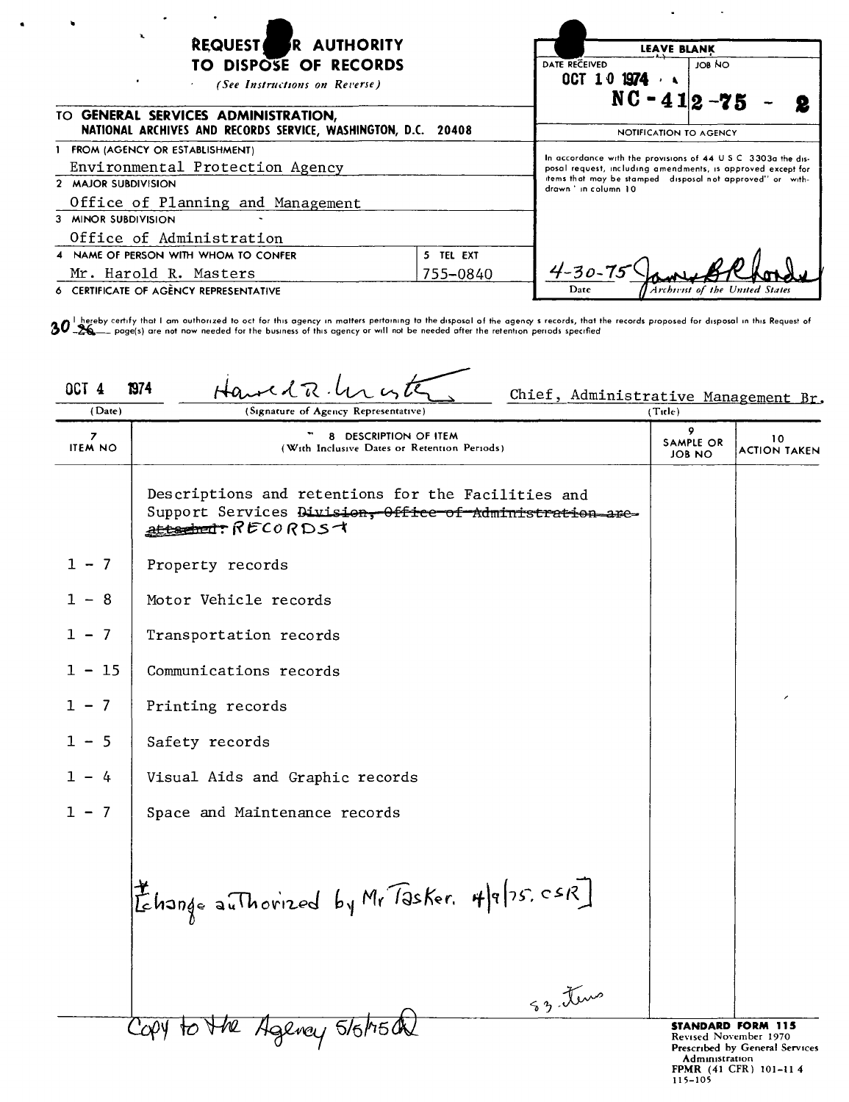| <b>R AUTHORITY</b><br><b>REQUEST</b><br>TO DISPOSE OF RECORDS<br>(See Instructions on Reverse)          | <b>LEAVE BLANK</b><br>DATE RECEIVED<br>007 10 1974<br>$NC - 412 - 75$ | JOB NO                                                                                                                                                                                                           |                                 |
|---------------------------------------------------------------------------------------------------------|-----------------------------------------------------------------------|------------------------------------------------------------------------------------------------------------------------------------------------------------------------------------------------------------------|---------------------------------|
| TO GENERAL SERVICES ADMINISTRATION,<br>NATIONAL ARCHIVES AND RECORDS SERVICE, WASHINGTON, D.C. 20408    |                                                                       | NOTIFICATION TO AGENCY                                                                                                                                                                                           |                                 |
| FROM (AGENCY OR ESTABLISHMENT)<br>Environmental Protection Agency<br>2 MAJOR SUBDIVISION                |                                                                       | In accordance with the provisions of 44 U.S.C. 3303a the dis-<br>posal request, including amendments, is approved except for<br>items that may be stamped disposal not approved" or with-<br>drawn 'in column 10 |                                 |
| Office of Planning and Management<br>3 MINOR SUBDIVISION<br>Office of Administration                    |                                                                       |                                                                                                                                                                                                                  |                                 |
| 4 NAME OF PERSON WITH WHOM TO CONFER<br>Mr. Harold R. Masters<br>6 CERTIFICATE OF AGENCY REPRESENTATIVE | 5 TEL EXT<br>755-0840                                                 | $4 - 30 - 75$<br>Date                                                                                                                                                                                            | Archievist of the United States |

 $\bullet$ 

 $\bm{30}^{\text{!}}$  hereby certify that I am authorized to oct for this agency in matters pertaining to the disposal of the agency s records, that the records proposed for disposal in this Request of<br> $\bm{30}^{\text{!}}$  hereby cert

| OCT <sub>4</sub><br>(Date) | $H$ a el d $R$ .<br>1974<br>Chief, Administrative Management Br.<br>(Signature of Agency Representative)                             | (Title)                  |                                                                                     |
|----------------------------|--------------------------------------------------------------------------------------------------------------------------------------|--------------------------|-------------------------------------------------------------------------------------|
| 7<br><b>ITEM NO</b>        | 8 DESCRIPTION OF ITEM<br>(With Inclusive Dates or Retention Periods)                                                                 | 9<br>SAMPLE OR<br>JOB NO | 10<br>ACTION TAKEN                                                                  |
|                            | Descriptions and retentions for the Facilities and<br>Support Services Division, Office of Administration are-<br>attached: RECORDS+ |                          |                                                                                     |
| $1 - 7$                    | Property records                                                                                                                     |                          |                                                                                     |
| $1 - 8$                    | Motor Vehicle records                                                                                                                |                          |                                                                                     |
| $1 - 7$                    | Transportation records                                                                                                               |                          |                                                                                     |
| $1 - 15$                   | Communications records                                                                                                               |                          |                                                                                     |
| $1 - 7$                    | Printing records                                                                                                                     |                          |                                                                                     |
| $1 - 5$                    | Safety records                                                                                                                       |                          |                                                                                     |
| $1 - 4$                    | Visual Aids and Graphic records                                                                                                      |                          |                                                                                     |
| $1 - 7$                    | Space and Maintenance records                                                                                                        |                          |                                                                                     |
|                            | Ehange authorized by Mr Tasker. 4/9/75, CSR]<br>S3 tems                                                                              |                          |                                                                                     |
|                            | Agency 5/6/75 de                                                                                                                     |                          | <b>STANDARD FORM 115</b><br>Revised November 1970<br>Prescribed by General Services |

Prescribed by General Services<br>
Administration<br>
FPMR (41 CFR) 101-11 4<br>
115-105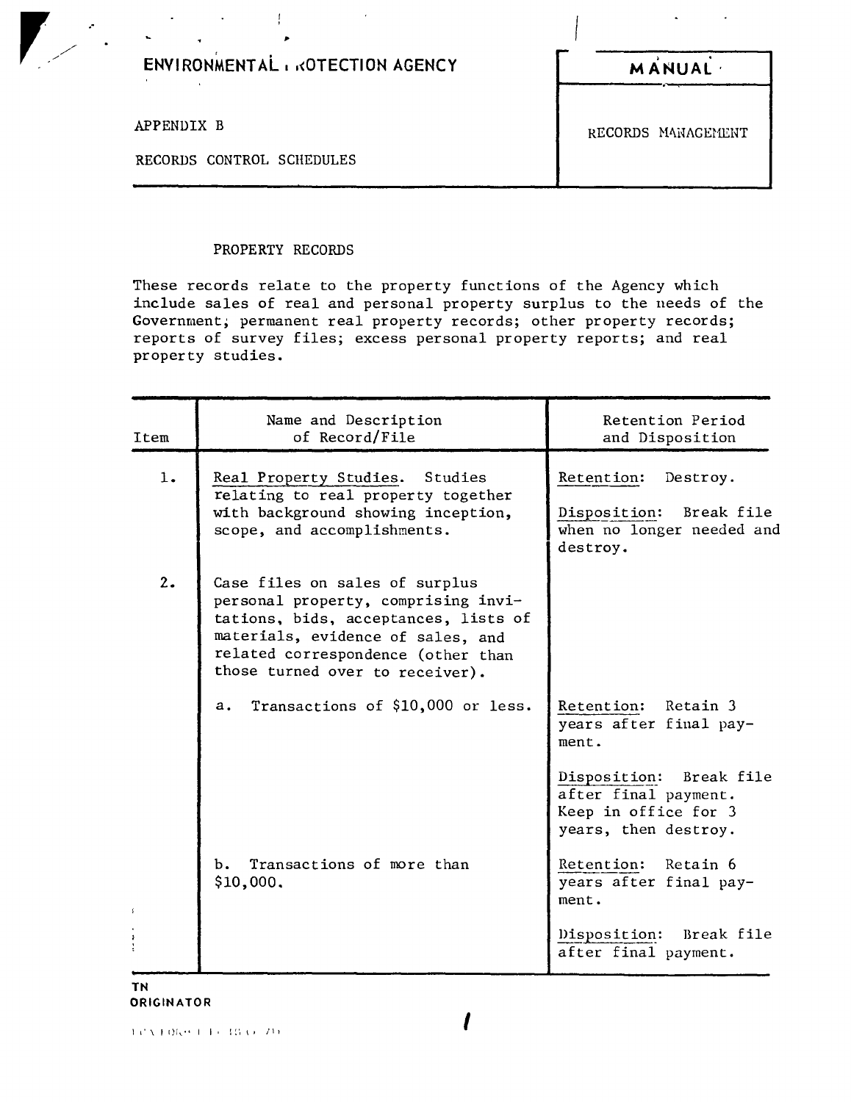| ENVIRONMENTAL & KOTECTION AGENCY | <b>MANUAL</b>      |
|----------------------------------|--------------------|
| APPENDIX B                       | RECORDS MANAGEMENT |
| RECORDS CONTROL SCHEDULES        |                    |

### PROPERTY RECORDS

 $\mathbf{I}$ 

 $\ddot{\phantom{a}}$ 

These records relate to the property functions of the Agency which include sales of real and personal property surplus to the needs of the Government, permanent real property records; other property records; reports of survey files; excess personal property reports; and real property studies.

| Item | Name and Description<br>of Record/File                                                                                                                                                                                      | Retention Period<br>and Disposition                                                             |
|------|-----------------------------------------------------------------------------------------------------------------------------------------------------------------------------------------------------------------------------|-------------------------------------------------------------------------------------------------|
| 1.   | Real Property Studies.<br>Studies<br>relating to real property together<br>with background showing inception,<br>scope, and accomplishments.                                                                                | Retention:<br>Destroy.<br>Disposition: Break file<br>when no longer needed and<br>destroy.      |
| 2.   | Case files on sales of surplus<br>personal property, comprising invi-<br>tations, bids, acceptances, lists of<br>materials, evidence of sales, and<br>related correspondence (other than<br>those turned over to receiver). |                                                                                                 |
|      | Transactions of \$10,000 or less.<br>a.                                                                                                                                                                                     | Retention: Retain 3<br>years after final pay-<br>ment.                                          |
|      |                                                                                                                                                                                                                             | Disposition: Break file<br>after final payment.<br>Keep in office for 3<br>years, then destroy. |
|      | b. Transactions of more than<br>\$10,000.                                                                                                                                                                                   | Retention: Retain 6<br>years after final pay-<br>ment.                                          |
|      |                                                                                                                                                                                                                             | Disposition: Break file<br>after final payment.                                                 |

**TN** ORIGINATOR

*I* <sup>1</sup> L' \ , [) 1 \ • <sup>I</sup> I I <sup>I</sup> l ~', \' / I <sup>I</sup>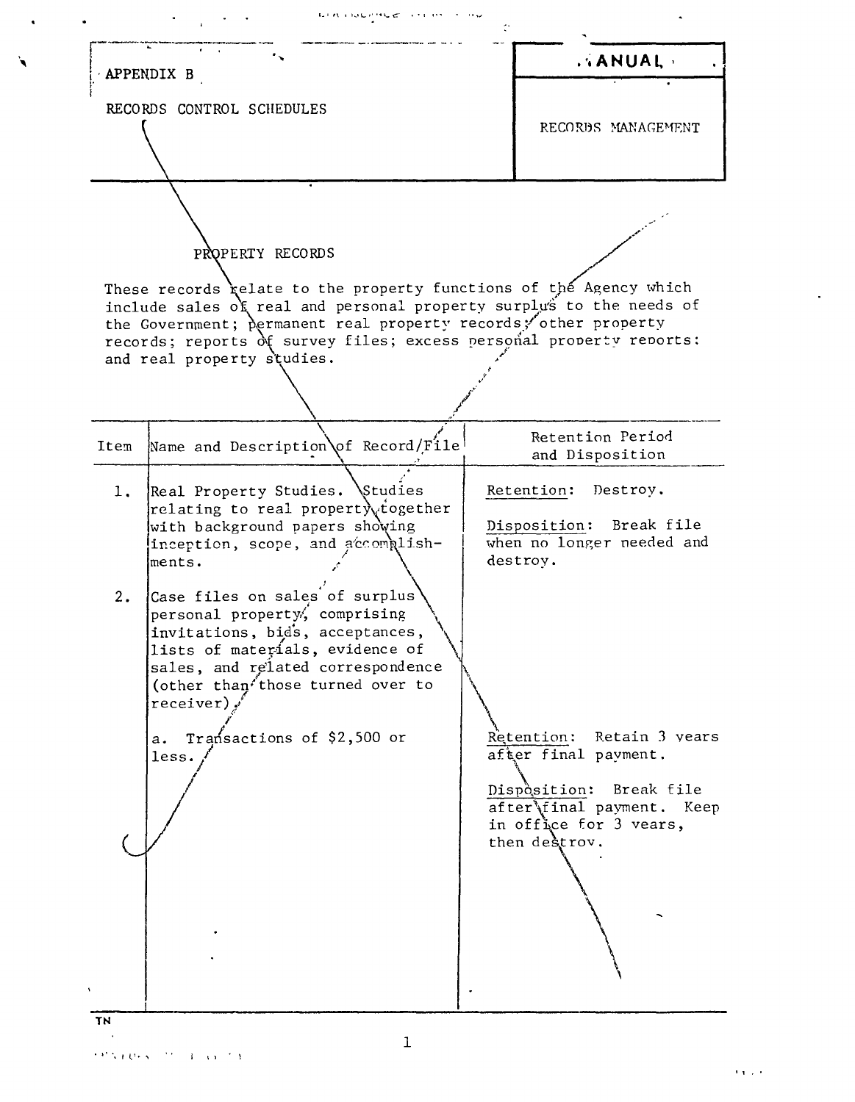. ANUAL APPENDIX B RECORDS CONTROL SCHEDULES RECORDS MANAGEMENT PROPERTY RECORDS These records relate to the property functions of the Agency which include sales of real and personal property surplus to the needs of the Government; permanent real property records; other property records; reports of survey files; excess personal property reports; and real property studies. Retention Period Name and Description of Record/File Item and Disposition  $1.$ Real Property Studies. Studies Retention: Destroy. relating to real property rogether with background papers showing Disposition: Break file inception, scope, and accomplishwhen no longer needed and destroy. ments.  $2.$ Case files on sales of surplus personal property, comprising invitations, bid's, acceptances, lists of materials, evidence of sales, and related correspondence (other than those turned over to  $receiver)$ . Retention: Retain 3 years a. Transactions of \$2,500 or after final payment. less. Disposition: Break file after final payment. Keep in office for 3 vears, then destrov. TN

بياء المحافظ والأناب

**NEW PRODUCTS**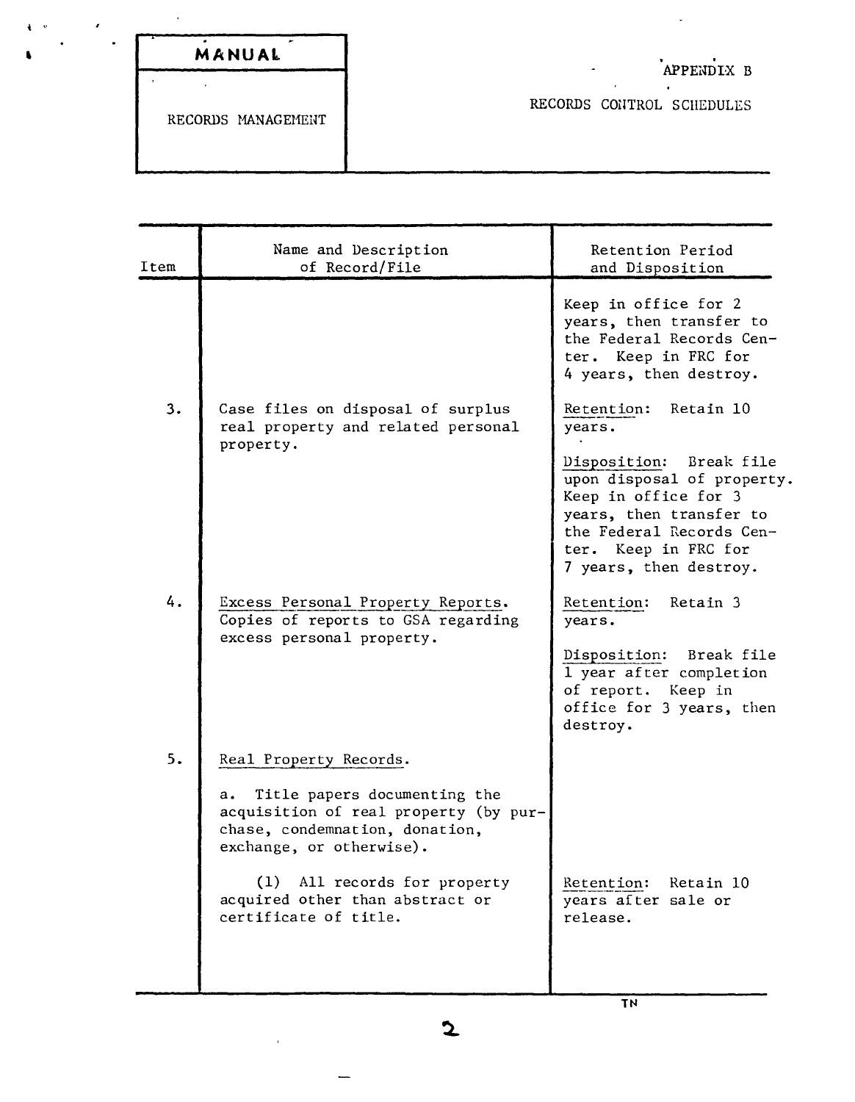|  | MANUAL |  |
|--|--------|--|

 $\bar{z}$ 

 $\mathcal{A}^{\pm}$ 

RECORDS MANAGEMENT

## APPENDIX B

 $\mathbb{Z}^2$ 

RECORDS CONTROL SCHEDULES

| Item | Name and Description<br>of Record/File                                                                                                    | Retention Period<br>and Disposition                                                                                                                                                       |
|------|-------------------------------------------------------------------------------------------------------------------------------------------|-------------------------------------------------------------------------------------------------------------------------------------------------------------------------------------------|
|      |                                                                                                                                           | Keep in office for 2<br>years, then transfer to<br>the Federal Records Cen-<br>ter. Keep in FRC for<br>4 years, then destroy.                                                             |
| 3.   | Case files on disposal of surplus<br>real property and related personal                                                                   | Retention:<br>- Retain 10<br>years.                                                                                                                                                       |
|      | property.                                                                                                                                 | Disposition:<br>Break file<br>upon disposal of property.<br>Keep in office for 3<br>years, then transfer to<br>the Federal Records Cen-<br>ter. Keep in FRC for<br>7 years, then destroy. |
| 4.   | Excess Personal Property Reports.<br>Copies of reports to GSA regarding<br>excess personal property.                                      | Retain 3<br>Retention:<br>years.                                                                                                                                                          |
|      |                                                                                                                                           | Disposition: Break file<br>1 year after completion<br>of report. Keep in<br>office for 3 years, then<br>destroy.                                                                          |
| 5.   | Real Property Records.                                                                                                                    |                                                                                                                                                                                           |
|      | Title papers documenting the<br>а.<br>acquisition of real property (by pur-<br>chase, condemnation, donation,<br>exchange, or otherwise). |                                                                                                                                                                                           |
|      | (1) All records for property<br>acquired other than abstract or<br>certificate of title.                                                  | Retention:<br>Retain 10<br>years after sale or<br>release.                                                                                                                                |
|      |                                                                                                                                           |                                                                                                                                                                                           |

 $\mathbf{2}$ 

 $\bar{\mathbf{r}}$ 

 $\overline{\phantom{0}}$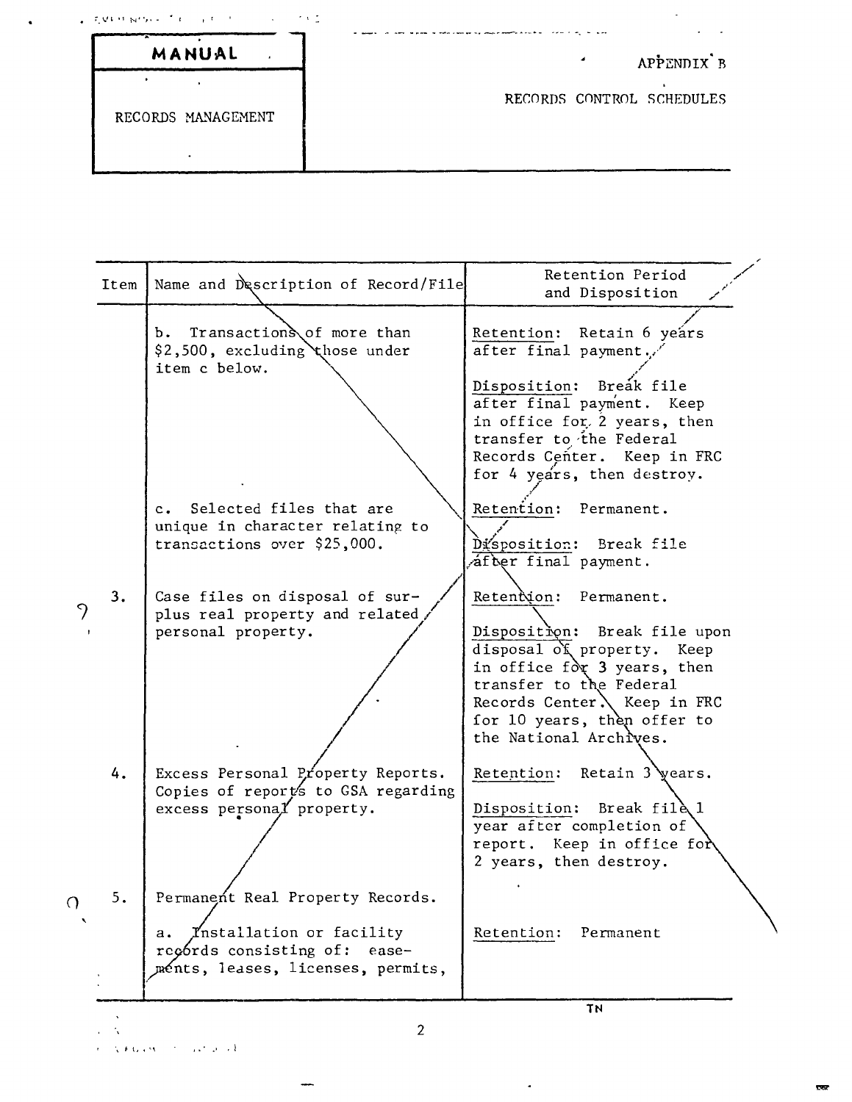|                    | which is a second to the property of the first state of the second state of the second state of the second state of the second state of the second state of the second state of the second state of the second state of the se |
|--------------------|--------------------------------------------------------------------------------------------------------------------------------------------------------------------------------------------------------------------------------|
| MANUAL             | APPENDIX B                                                                                                                                                                                                                     |
| RECORDS MANAGEMENT | RECORDS CONTROL SCHEDULES                                                                                                                                                                                                      |

| Transactions of more than<br>Retention: Retain 6 years<br>b.<br>\$2,500, excluding those under<br>after final payment.<br>item c below.<br>Disposition:<br>Breák file<br>after final payment. Keep<br>in office for 2 years, then<br>transfer to the Federal<br>Records Center. Keep in FRC<br>for 4 years, then destroy.<br>Selected files that are<br>Retention: Permanent.<br>$c_{\bullet}$<br>unique in character relating to<br>transactions over \$25,000.<br>Disposition: Break file<br>after final payment.<br>Retention: Permanent.<br>3.<br>Case files on disposal of sur-<br>plus real property and related<br>personal property.<br>disposal of property. Keep<br>in office for 3 years, then<br>transfer to the Federal<br>Records Center $\lambda$ Keep in FRC<br>for 10 years, then offer to<br>the National Archives.<br>Excess Personal Property Reports.<br>Retention: Retain 3 years.<br>4.<br>Copies of report's to GSA regarding<br>excess personal property.<br>Disposition: Break file 1<br>year after completion of<br>report. Keep in office for<br>2 years, then destroy.<br>5.<br>Permanent Real Property Records.<br>Installation or facility<br>Retention:<br>Permanent<br>а.<br>records consisting of:<br>ease-<br>ménts, leases, licenses, permits, | Item | Name and Description of Record/File | Retention Period<br>and Disposition |
|------------------------------------------------------------------------------------------------------------------------------------------------------------------------------------------------------------------------------------------------------------------------------------------------------------------------------------------------------------------------------------------------------------------------------------------------------------------------------------------------------------------------------------------------------------------------------------------------------------------------------------------------------------------------------------------------------------------------------------------------------------------------------------------------------------------------------------------------------------------------------------------------------------------------------------------------------------------------------------------------------------------------------------------------------------------------------------------------------------------------------------------------------------------------------------------------------------------------------------------------------------------------------------|------|-------------------------------------|-------------------------------------|
|                                                                                                                                                                                                                                                                                                                                                                                                                                                                                                                                                                                                                                                                                                                                                                                                                                                                                                                                                                                                                                                                                                                                                                                                                                                                                    |      |                                     |                                     |
|                                                                                                                                                                                                                                                                                                                                                                                                                                                                                                                                                                                                                                                                                                                                                                                                                                                                                                                                                                                                                                                                                                                                                                                                                                                                                    |      |                                     |                                     |
|                                                                                                                                                                                                                                                                                                                                                                                                                                                                                                                                                                                                                                                                                                                                                                                                                                                                                                                                                                                                                                                                                                                                                                                                                                                                                    |      |                                     | Disposition: Break file upon        |
|                                                                                                                                                                                                                                                                                                                                                                                                                                                                                                                                                                                                                                                                                                                                                                                                                                                                                                                                                                                                                                                                                                                                                                                                                                                                                    |      |                                     |                                     |
|                                                                                                                                                                                                                                                                                                                                                                                                                                                                                                                                                                                                                                                                                                                                                                                                                                                                                                                                                                                                                                                                                                                                                                                                                                                                                    |      |                                     |                                     |

 $\ddot{\phantom{0}}$ 

2

÷,

—<br>—

╲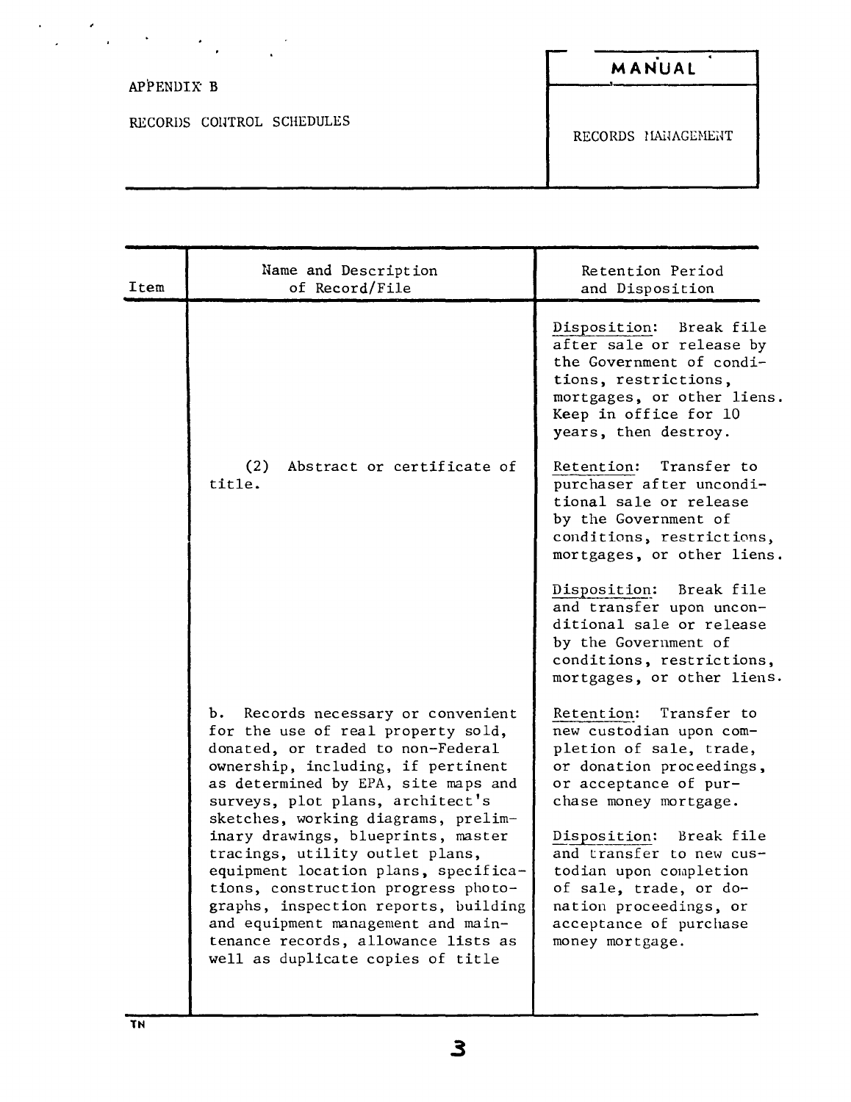| ٠                         |                    |
|---------------------------|--------------------|
| ٠<br>APPENDIX B           | MANUAL             |
|                           |                    |
| RECORDS CONTROL SCHEDULES | RECORDS MANAGEMENT |

| Item | Name and Description<br>of Record/File                                                                                                                                                                                                                                                                                                                                                                                                                                                                                                                                                     | Retention Period<br>and Disposition                                                                                                                                                                                                                                                                                                             |
|------|--------------------------------------------------------------------------------------------------------------------------------------------------------------------------------------------------------------------------------------------------------------------------------------------------------------------------------------------------------------------------------------------------------------------------------------------------------------------------------------------------------------------------------------------------------------------------------------------|-------------------------------------------------------------------------------------------------------------------------------------------------------------------------------------------------------------------------------------------------------------------------------------------------------------------------------------------------|
|      |                                                                                                                                                                                                                                                                                                                                                                                                                                                                                                                                                                                            | Break file<br>Disposition:<br>after sale or release by<br>the Government of condi-<br>tions, restrictions,<br>mortgages, or other liens.<br>Keep in office for 10<br>years, then destroy.                                                                                                                                                       |
|      | (2)<br>Abstract or certificate of<br>title.                                                                                                                                                                                                                                                                                                                                                                                                                                                                                                                                                | Retention:<br>Transfer to<br>purchaser after uncondi-<br>tional sale or release<br>by the Government of<br>conditions, restrictions,<br>mortgages, or other liens.                                                                                                                                                                              |
|      |                                                                                                                                                                                                                                                                                                                                                                                                                                                                                                                                                                                            | Disposition: Break file<br>and transfer upon uncon-<br>ditional sale or release<br>by the Government of<br>conditions, restrictions,<br>mortgages, or other liens.                                                                                                                                                                              |
|      | Records necessary or convenient<br>b.<br>for the use of real property sold,<br>donated, or traded to non-Federal<br>ownership, including, if pertinent<br>as determined by EPA, site maps and<br>surveys, plot plans, architect's<br>sketches, working diagrams, prelim-<br>inary drawings, blueprints, master<br>tracings, utility outlet plans,<br>equipment location plans, specifica-<br>tions, construction progress photo-<br>graphs, inspection reports, building<br>and equipment management and main-<br>tenance records, allowance lists as<br>well as duplicate copies of title | Retention: Transfer to<br>new custodian upon com-<br>pletion of sale, trade,<br>or donation proceedings,<br>or acceptance of pur-<br>chase money mortgage.<br>Disposition:<br>Break file<br>and transfer to new cus-<br>todian upon completion<br>of sale, trade, or do-<br>nation proceedings, or<br>acceptance of purchase<br>money mortgage. |

 $\frac{1}{\sqrt{2}}\sum_{i=1}^{n} \frac{1}{\sqrt{2}}\left(\frac{1}{\sqrt{2}}\right)^2\left(\frac{1}{\sqrt{2}}\right)^2.$ 

 $\cdot$ 

 $\label{eq:2.1} \frac{1}{2} \left( \frac{1}{2} \left( \frac{1}{2} \right) \right)^2 \left( \frac{1}{2} \left( \frac{1}{2} \right) \right)^2$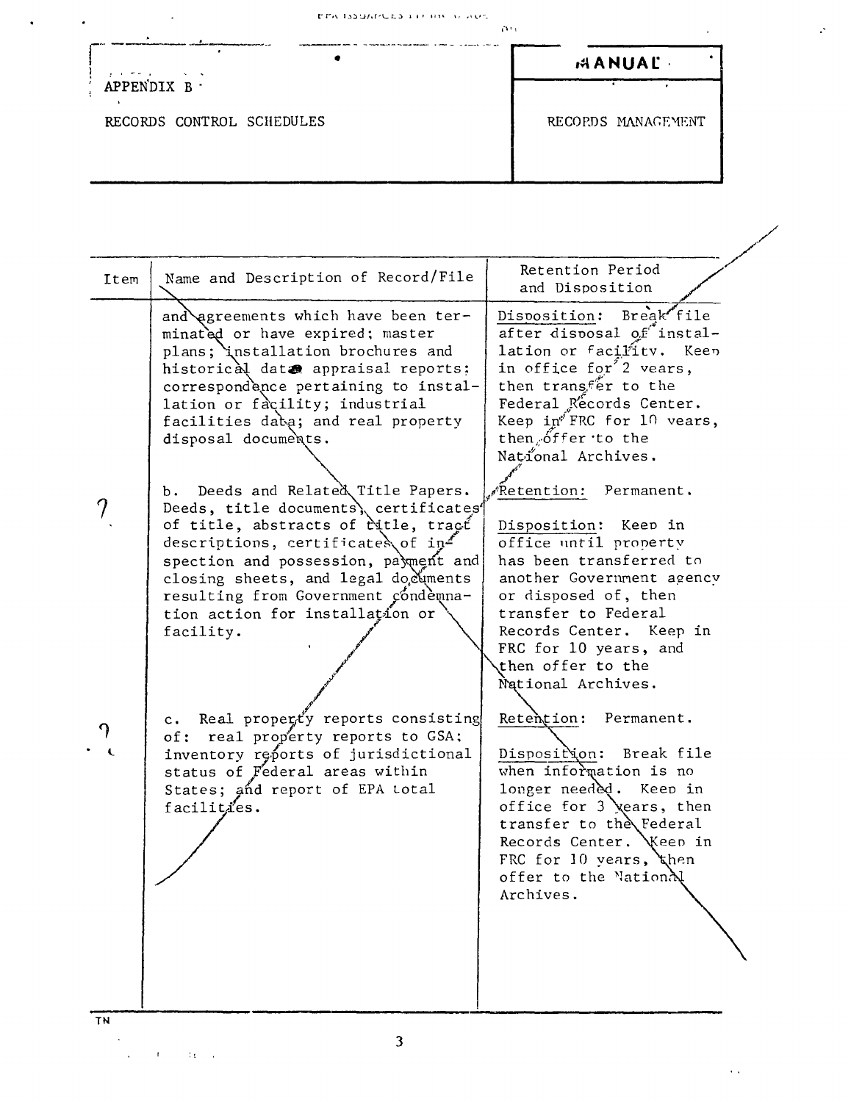| アデハ ほうほんだしたる キチトロセール みもべ |  |  |  |
|--------------------------|--|--|--|

 $\bullet$ 

 $\alpha\alpha$ 

| $\mathbf{y} = \mathbf{y} + \mathbf{y}$ , where $\mathbf{y}$ |  |  |
|-------------------------------------------------------------|--|--|
| APPENDIX B.                                                 |  |  |

 $\bullet$ 

 $\ddot{\phantom{0}}$ 

RECORDS CONTROL SCHEDULES

RECORDS MANAGEMENT

**AANUAL** 

 $\ddot{\phantom{0}}$ 

 $\sim$   $\sim$ 

| Item    | Name and Description of Record/File                                                                                                                                                                                                                                                                                                                                                                                                                                                                                                                                                                                                                                                                                                                                                                                                    | Retention Period<br>and Disposition                                                                                                                                                                                                                                                                                                                                                                                                                                                                                                                                                                                                                                                                                                                                                                                   |
|---------|----------------------------------------------------------------------------------------------------------------------------------------------------------------------------------------------------------------------------------------------------------------------------------------------------------------------------------------------------------------------------------------------------------------------------------------------------------------------------------------------------------------------------------------------------------------------------------------------------------------------------------------------------------------------------------------------------------------------------------------------------------------------------------------------------------------------------------------|-----------------------------------------------------------------------------------------------------------------------------------------------------------------------------------------------------------------------------------------------------------------------------------------------------------------------------------------------------------------------------------------------------------------------------------------------------------------------------------------------------------------------------------------------------------------------------------------------------------------------------------------------------------------------------------------------------------------------------------------------------------------------------------------------------------------------|
| າ<br>TN | and agreements which have been ter-<br>minated or have expired; master<br>plans; installation brochures and<br>historical data appraisal reports:<br>correspondence pertaining to instal-<br>lation or facility; industrial<br>facilities daba; and real property<br>disposal documents.<br>Deeds and Related Title Papers.<br>b.<br>Deeds, title documents), certificates<br>of title, abstracts of ritle, tract<br>descriptions, certificates of $ip^2$<br>spection and possession, payment and<br>closing sheets, and legal documents<br>resulting from Government condemna-<br>tion action for installation or<br>facility.<br>c. Real property reports consisting<br>of: real property reports to GSA;<br>inventory reports of jurisdictional<br>status of Federal areas within<br>States; and report of EPA total<br>facilities. | Break file<br>Disposition:<br>after disposal of instal-<br>lation or facility. Keep<br>in office for <sup>2</sup> vears,<br>then transfer to the<br>Federal Records Center.<br>Keep $in^{f}$ FRC for 10 vears,<br>then offer to the<br>National Archives.<br>" <sup>"</sup> Retention:<br>Permanent.<br>Disposition: Keep in<br>office until property<br>has been transferred to<br>another Government agency<br>or disposed of, then<br>transfer to Federal<br>Records Center. Keep in<br>FRC for 10 years, and<br>then offer to the<br>National Archives.<br>Retention: Permanent.<br>Disposition: Break file<br>when information is no<br>longer needed. Keep in<br>office for 3 xears, then<br>transfer to the Federal<br>Records Center. Weep in<br>FRC for 10 years, then<br>offer to the National<br>Archives. |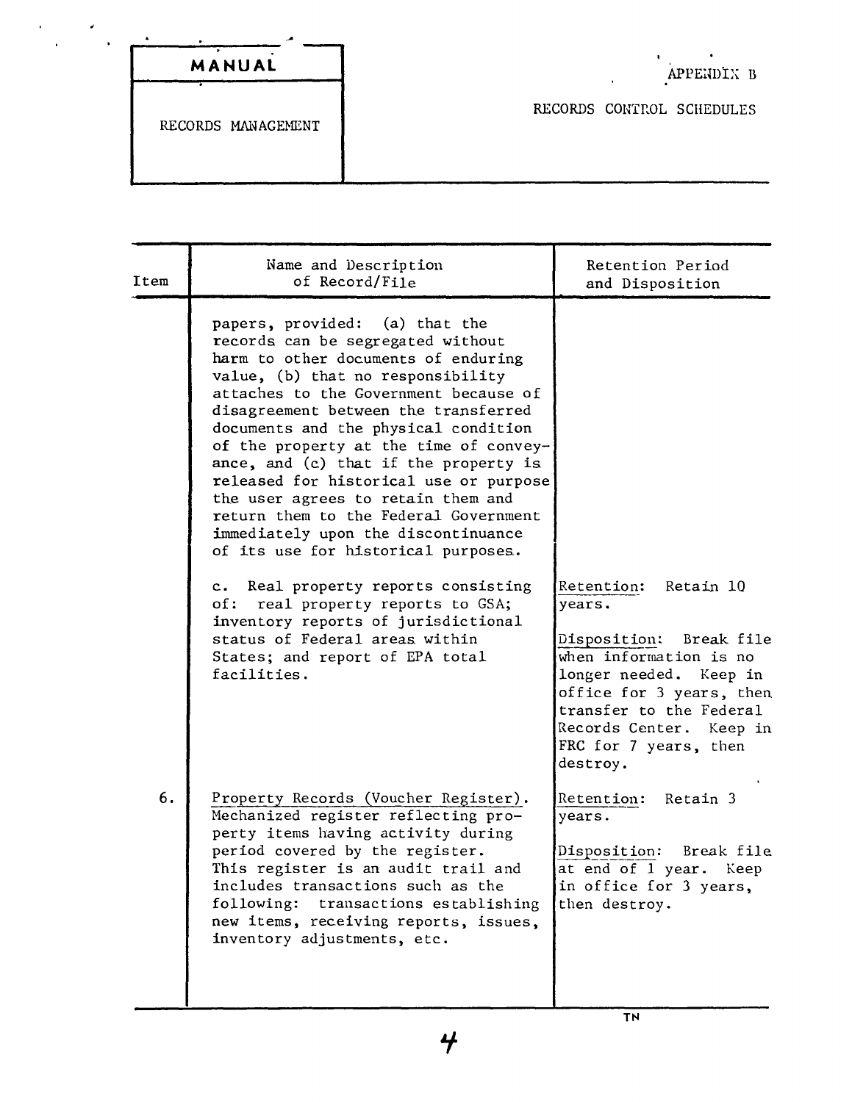| MANUAL |  |
|--------|--|

 $\mathbf{r}$ 

 $\hat{\phantom{a}}$  $\ddot{\phantom{a}}$ 

RECORDS CONTROL SCHEDULES

RECORDS MANAGEMENT

| Item | Name and Description<br>of Record/File                                                                                                                                                                                                                                                                                                                                                                                                                                                                                                                                                                                                                                                                                                                                       | Retention Period<br>and Disposition                                                                                                                                                                                                     |
|------|------------------------------------------------------------------------------------------------------------------------------------------------------------------------------------------------------------------------------------------------------------------------------------------------------------------------------------------------------------------------------------------------------------------------------------------------------------------------------------------------------------------------------------------------------------------------------------------------------------------------------------------------------------------------------------------------------------------------------------------------------------------------------|-----------------------------------------------------------------------------------------------------------------------------------------------------------------------------------------------------------------------------------------|
|      | papers, provided: (a) that the<br>records can be segregated without<br>harm to other documents of enduring<br>value, (b) that no responsibility<br>attaches to the Government because of<br>disagreement between the transferred<br>documents and the physical condition<br>of the property at the time of convey-<br>ance, and (c) that if the property is<br>released for historical use or purpose<br>the user agrees to retain them and<br>return them to the Federal Government<br>immediately upon the discontinuance<br>of its use for historical purposes.<br>c. Real property reports consisting<br>real property reports to GSA;<br>of:<br>inventory reports of jurisdictional<br>status of Federal areas within<br>States; and report of EPA total<br>facilities. | Retention: Retain 10<br>years.<br>Disposition:<br>Break file<br>when information is no<br>longer needed. Keep in<br>office for 3 years, then<br>transfer to the Federal<br>Records Center. Keep in<br>FRC for 7 years, then<br>destroy. |
| 6.   | Property Records (Voucher Register).<br>Mechanized register reflecting pro-<br>perty items having activity during<br>period covered by the register.<br>This register is an audit trail and<br>includes transactions such as the<br>following: transactions establishing<br>new items, receiving reports, issues,<br>inventory adjustments, etc.                                                                                                                                                                                                                                                                                                                                                                                                                             | Retention: Retain 3<br>years.<br>Disposition: Break file<br>at end of 1 year. Keep<br>in office for 3 years,<br>then destroy.                                                                                                           |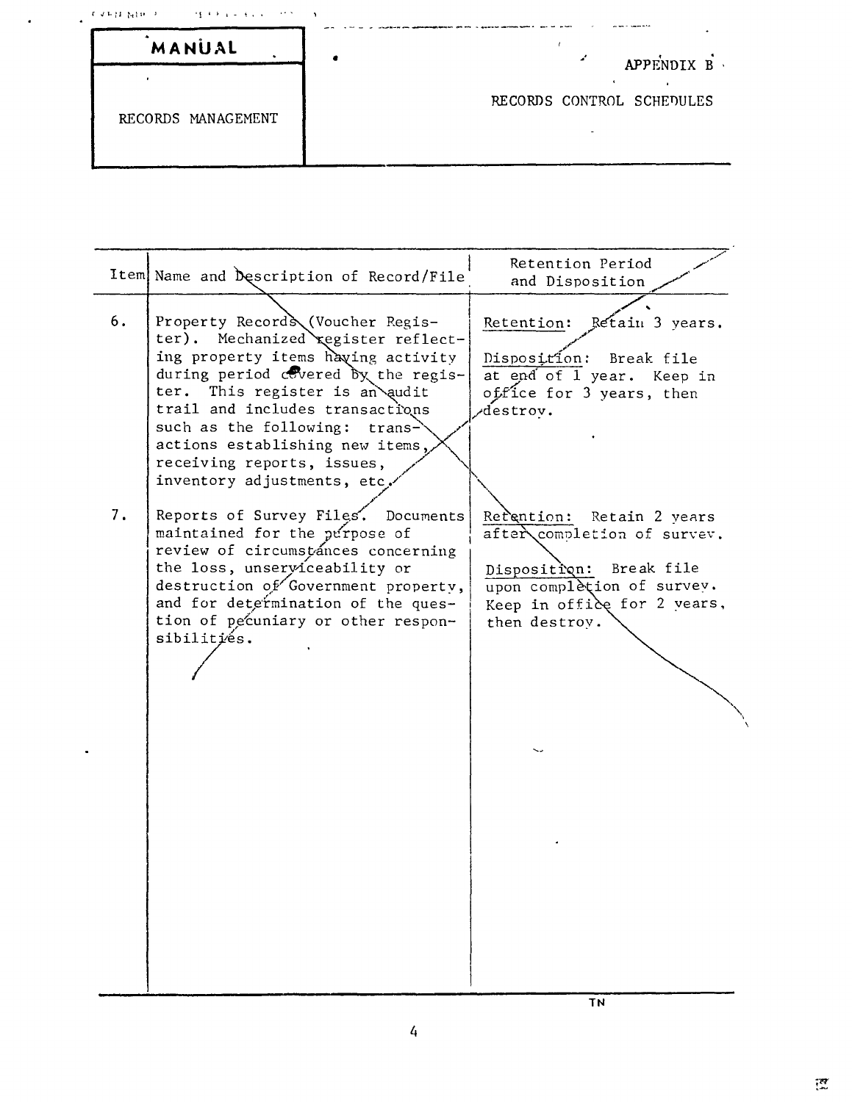| MANUAL             | APPENDIX B                |
|--------------------|---------------------------|
|                    |                           |
| RECORDS MANAGEMENT | RECORDS CONTROL SCHEDULES |

|    | Item Name and Description of Record/File                                                                                                                                                                                                                                                                                                                     | Retention Period<br>and Disposition                                                                                                                                  |
|----|--------------------------------------------------------------------------------------------------------------------------------------------------------------------------------------------------------------------------------------------------------------------------------------------------------------------------------------------------------------|----------------------------------------------------------------------------------------------------------------------------------------------------------------------|
| 6. | Property Records (Voucher Regis-<br>Mechanized register reflect-<br>ter).<br>ing property items having activity<br>during period covered by the regis-<br>ter. This register is an audit<br>trail and includes transactions<br>such as the following: trans-<br>actions establishing new items,<br>receiving reports, issues,<br>inventory adjustments, etc. | Retain 3 years.<br>Retention:<br>Disposition: Break file<br>at end of 1 year. Keep in<br>office for 3 years, then<br>destrov.                                        |
| 7. | Reports of Survey Files. Documents<br>maintained for the purpose of<br>review of circumstances concerning<br>the loss, unserviceability or<br>destruction of Government property,<br>and for determination of the ques-<br>tion of pecuniary or other respon-<br>sibilitiés.                                                                                 | Refention:<br>Retain 2 years<br>after completion of survey.<br>Disposition: Break file<br>upon completion of survey.<br>Keep in office for 2 years,<br>then destrov. |

 $\hat{\textbf{a}}$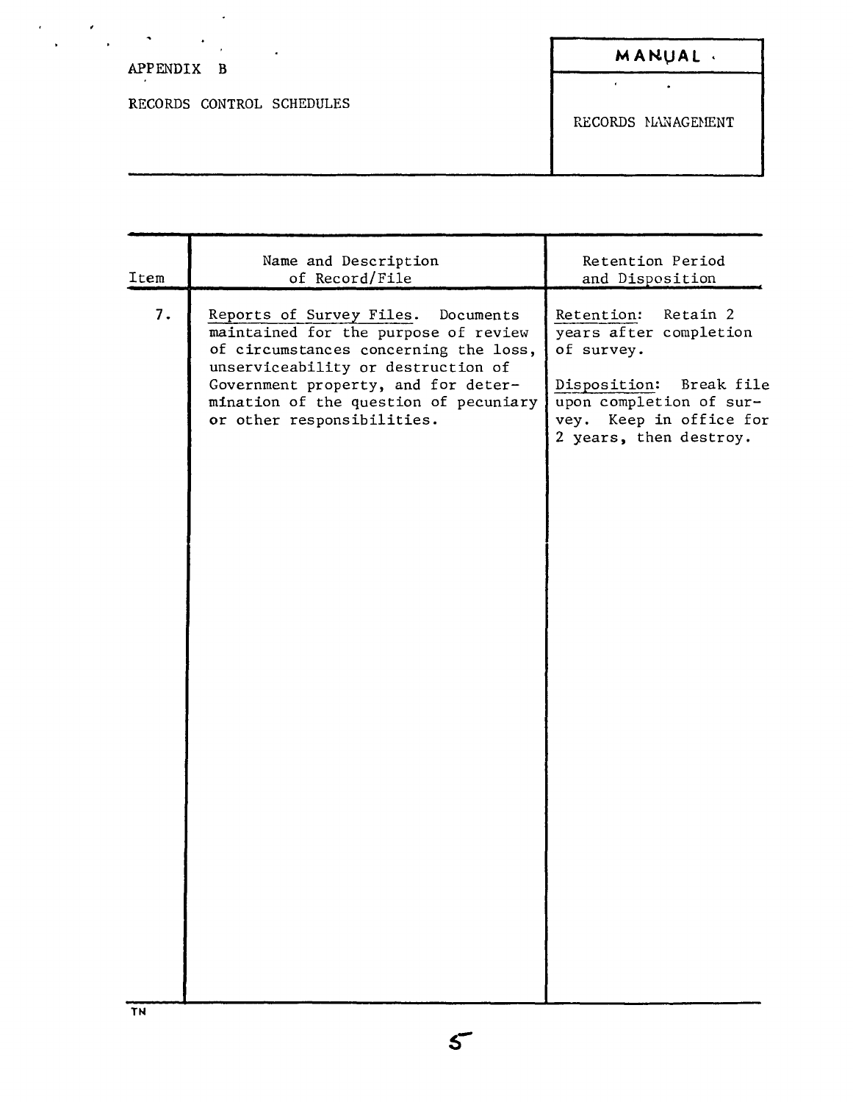| $\cdot$<br>$\ddot{\phantom{1}}$<br>APPENDIX B | MANUAL.            |
|-----------------------------------------------|--------------------|
| RECORDS CONTROL SCHEDULES                     | RECORDS MANAGEMENT |

 $\mathcal{L}^{\text{max}}_{\text{max}}$ 

| Item | Name and Description<br>of Record/File                                                                                                                                                                                                                                     | Retention Period<br>and Disposition                                                                                                                                       |
|------|----------------------------------------------------------------------------------------------------------------------------------------------------------------------------------------------------------------------------------------------------------------------------|---------------------------------------------------------------------------------------------------------------------------------------------------------------------------|
| 7.   | Reports of Survey Files.<br>Documents<br>maintained for the purpose of review<br>of circumstances concerning the loss,<br>unserviceability or destruction of<br>Government property, and for deter-<br>mination of the question of pecuniary<br>or other responsibilities. | Retain 2<br>Retention:<br>years after completion<br>of survey.<br>Disposition: Break file<br>upon completion of sur-<br>vey. Keep in office for<br>2 years, then destroy. |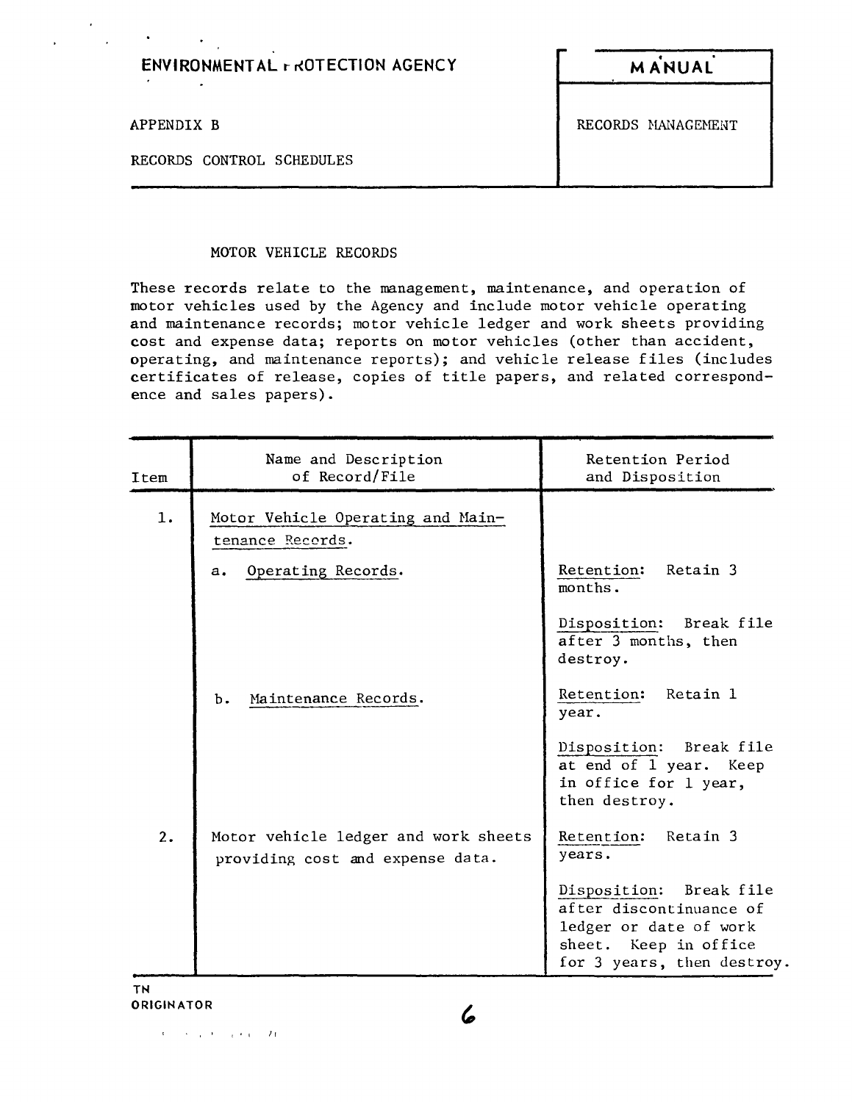| <b>ENVIRONMENTAL r ROTECTION AGENCY</b><br>$\bullet$ | <b>MANUAL</b>      |
|------------------------------------------------------|--------------------|
| APPENDIX B<br>RECORDS CONTROL SCHEDULES              | RECORDS MANAGEMENT |
|                                                      |                    |

### MOTOR VEHICLE RECORDS

 $\mathcal{O}(\mathcal{A})$  and  $\mathcal{O}(\mathcal{A})$ 

These records relate to the management, maintenance, and operation of motor vehicles used by the Agency and include motor vehicle operating and maintenance records; motor vehicle ledger and work sheets providing cost and expense data; reports on motor vehicles (other than accident, operating, and maintenance reports); and vehicle release files (includes certificates of release, copies of title papers, and related correspondence and sales papers).

| Item | Name and Description<br>of Record/File                                   | Retention Period<br>and Disposition                                                                                                |
|------|--------------------------------------------------------------------------|------------------------------------------------------------------------------------------------------------------------------------|
| 1.   | Motor Vehicle Operating and Main-<br>tenance Records.                    |                                                                                                                                    |
|      | Operating Records.<br>$a_{\bullet}$                                      | Retention: Retain 3<br>months.                                                                                                     |
|      |                                                                          | Disposition: Break file<br>after 3 months, then<br>destroy.                                                                        |
|      | Maintenance Records.<br>Ъ.                                               | Retention: Retain 1<br>year.                                                                                                       |
|      |                                                                          | Disposition: Break file<br>at end of 1 year. Keep<br>in office for 1 year,<br>then destroy.                                        |
| 2.   | Motor vehicle ledger and work sheets<br>providing cost and expense data. | Retention: Retain 3<br>years.                                                                                                      |
|      |                                                                          | Disposition: Break file<br>after discontinuance of<br>ledger or date of work<br>sheet. Keep in office<br>for 3 years, then destroy |

TN **ORIGINATOR** 

 $x = 1$  Iraq (1985), and a set of the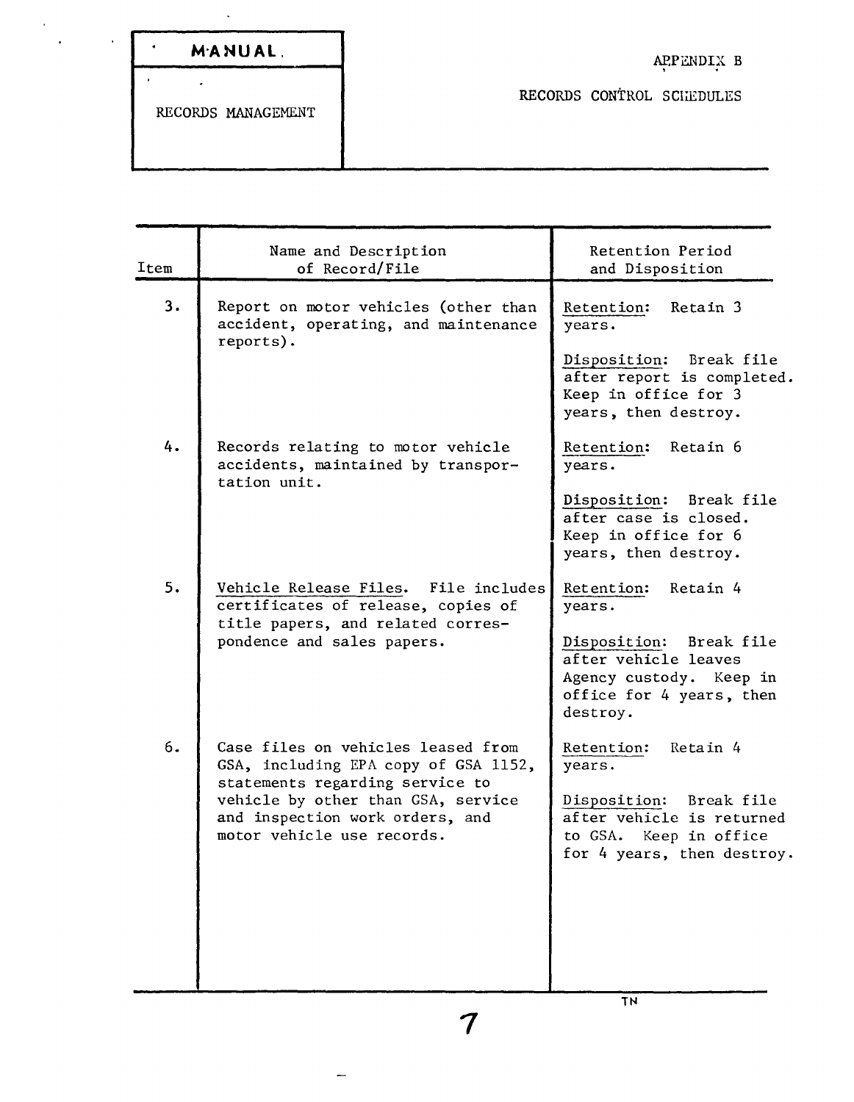| MANUAL. |  | APPENDIX B                      |  |
|---------|--|---------------------------------|--|
|         |  | <b>DROODDC COMPUTE COUNTING</b> |  |

RECORDS MANAGEMENT

RECORDS CONTROL SCHEDULES

Name and Description Item de of Record/File 3. Report on motor vehicles (other than accident, operating, and maintenance reports). 4. Records relating to motor vehicle accidents, maintained by transportation unit. 5. Vehicle Release Files. File includes certificates of release, copies of title papers, and related correspondence and sales papers. 6. Case files on vehicles leased from GSA, including EPA copy of GSA 1152, statements regarding service to vehicle by other than GSA, service and inspection work orders, and motor vehicle use records. Retention Period and Disposition Retention: Retain 3 years. Disposition: Break file after report is completed. Keep in office for 3 years, then destroy. Retention: Retain 6 years. Disposition: Break file after case is closed. Keep in office for 6 years, then destroy. Retention: Retain 4 years. Disposition: Break file after vehicle leaves Agency custody. Keep in office for 4 years, then destroy. Retention: Retain 4 years. Disposition: Break file after vehicle is returned to GSA. Keep in office for 4 years, then destroy.

 $\frac{1}{7}$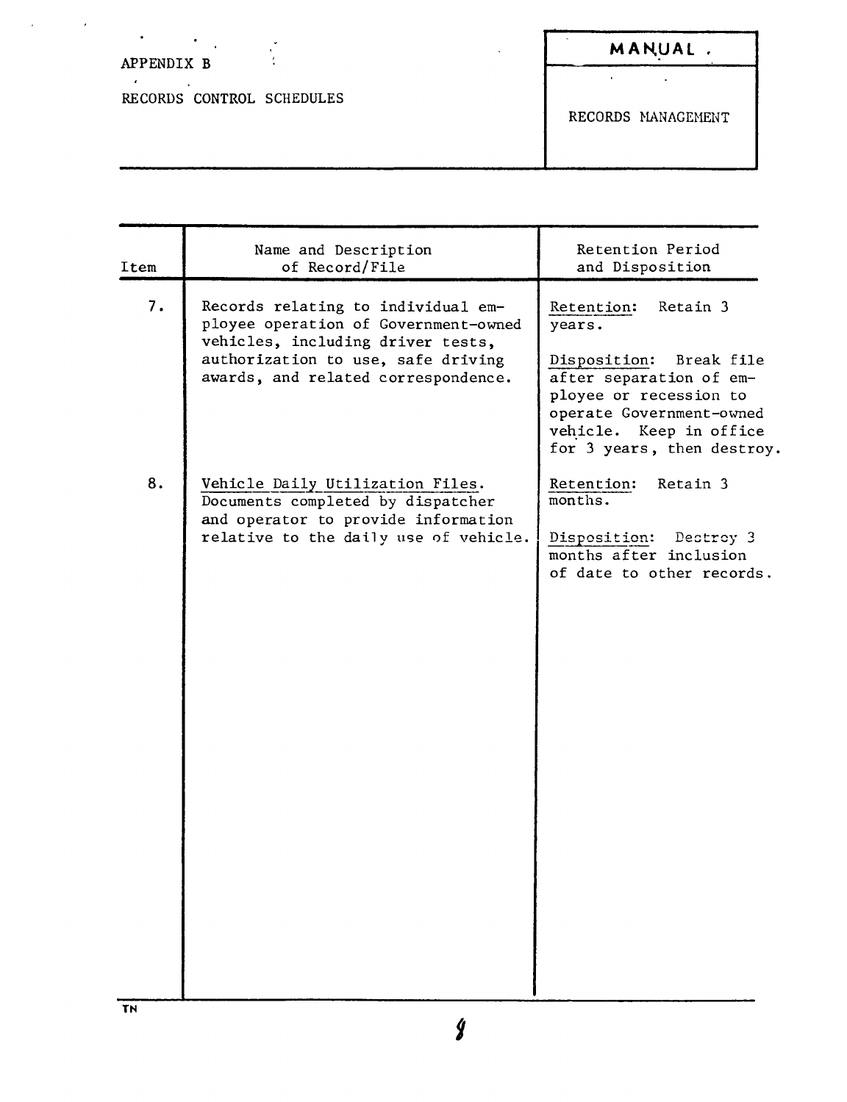# APPENDIX B

RECORDS CONTROL SCHEDULES

**MAN,UAl**

 $\mathcal{L}$ 

RECORDS MANAGEMENT

 $\mathbf{r}^{(1)}$  .

| Item | Name and Description<br>of Record/File                                                                                                                                                       | Retention Period<br>and Disposition                                                                                                                                                                   |
|------|----------------------------------------------------------------------------------------------------------------------------------------------------------------------------------------------|-------------------------------------------------------------------------------------------------------------------------------------------------------------------------------------------------------|
| 7.   | Records relating to individual em-<br>ployee operation of Government-owned<br>vehicles, including driver tests,<br>authorization to use, safe driving<br>awards, and related correspondence. | Retain 3<br>Retention:<br>years.<br>Disposition: Break file<br>after separation of em-<br>ployee or recession to<br>operate Government-owned<br>vehicle. Keep in office<br>for 3 years, then destroy. |
| 8.   | Vehicle Daily Utilization Files.<br>Documents completed by dispatcher<br>and operator to provide information<br>relative to the daily use of vehicle.                                        | Retention:<br>Retain 3<br>months.<br>Disposition: Dectroy 3<br>months after inclusion<br>of date to other records.                                                                                    |
|      |                                                                                                                                                                                              |                                                                                                                                                                                                       |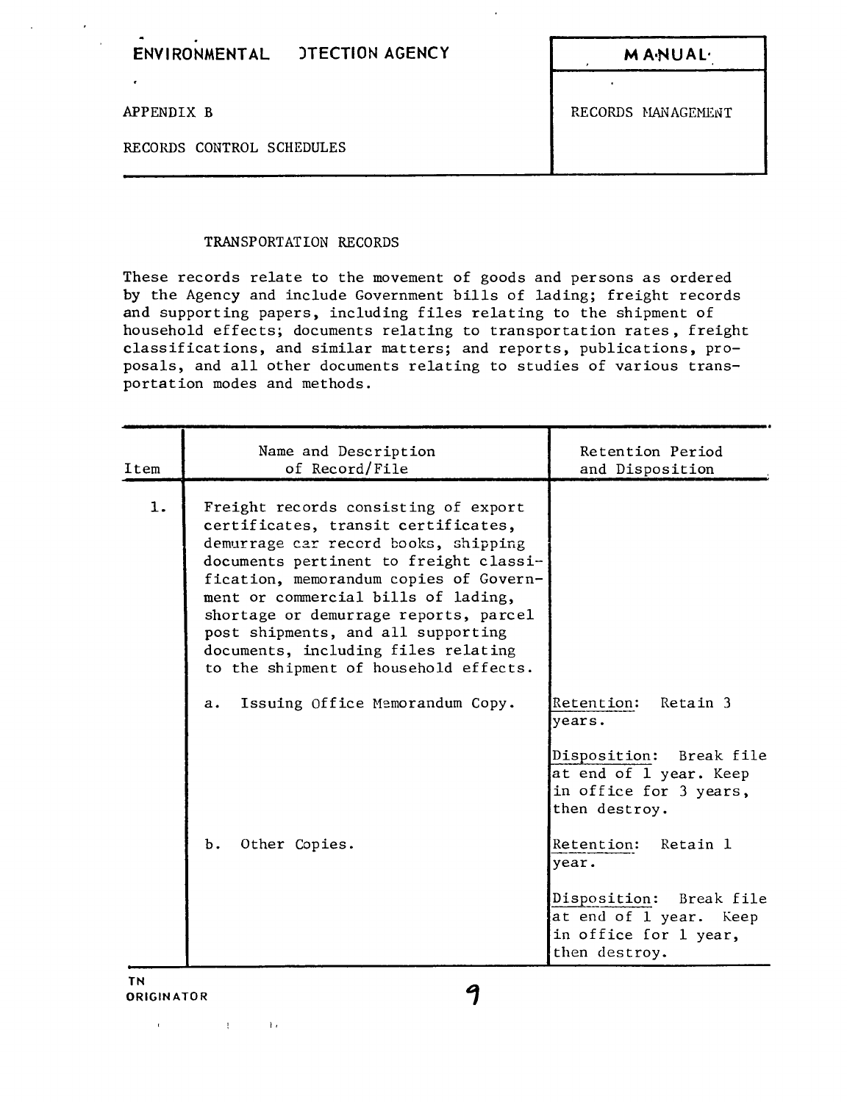$M$ A·NUAL·

APPENDIX B RECORDS MANAGEMENT

RECORDS CONTROL SCHEDULES

### TRANSPORTATION RECORDS

These records relate to the movement of goods and persons as ordered by the Agency and include Government bills of lading; freight records and supporting papers, including files relating to the shipment of household effects; documents relating to transportation rates, freight classifications, and similar matters; and reports, publications, proposals, and all other documents relating to studies of various transportation modes and methods.

| Item | Name and Description<br>of Record/File                                                                                                                                                                                                                                                                                                                                                                        | Retention Period<br>and Disposition                                                                                                                                                                                                                             |
|------|---------------------------------------------------------------------------------------------------------------------------------------------------------------------------------------------------------------------------------------------------------------------------------------------------------------------------------------------------------------------------------------------------------------|-----------------------------------------------------------------------------------------------------------------------------------------------------------------------------------------------------------------------------------------------------------------|
| 1.   | Freight records consisting of export<br>certificates, transit certificates,<br>demurrage car record books, shipping<br>documents pertinent to freight classi-<br>fication, memorandum copies of Govern-<br>ment or commercial bills of lading,<br>shortage or demurrage reports, parcel<br>post shipments, and all supporting<br>documents, including files relating<br>to the shipment of household effects. |                                                                                                                                                                                                                                                                 |
|      | Issuing Office Memorandum Copy.<br>a.<br>Other Copies.<br>Ъ.                                                                                                                                                                                                                                                                                                                                                  | Retention:<br>Retain 3<br>years.<br>Disposition: Break file<br>at end of 1 year. Keep<br>in office for 3 years,<br>then destroy.<br>Retention: Retain 1<br>year.<br>Disposition: Break file<br>at end of 1 year. Keep<br>in office for 1 year,<br>then destroy. |

 $\mathbf{r}$ 

 $\sim$  J $\epsilon$ 

**Controller**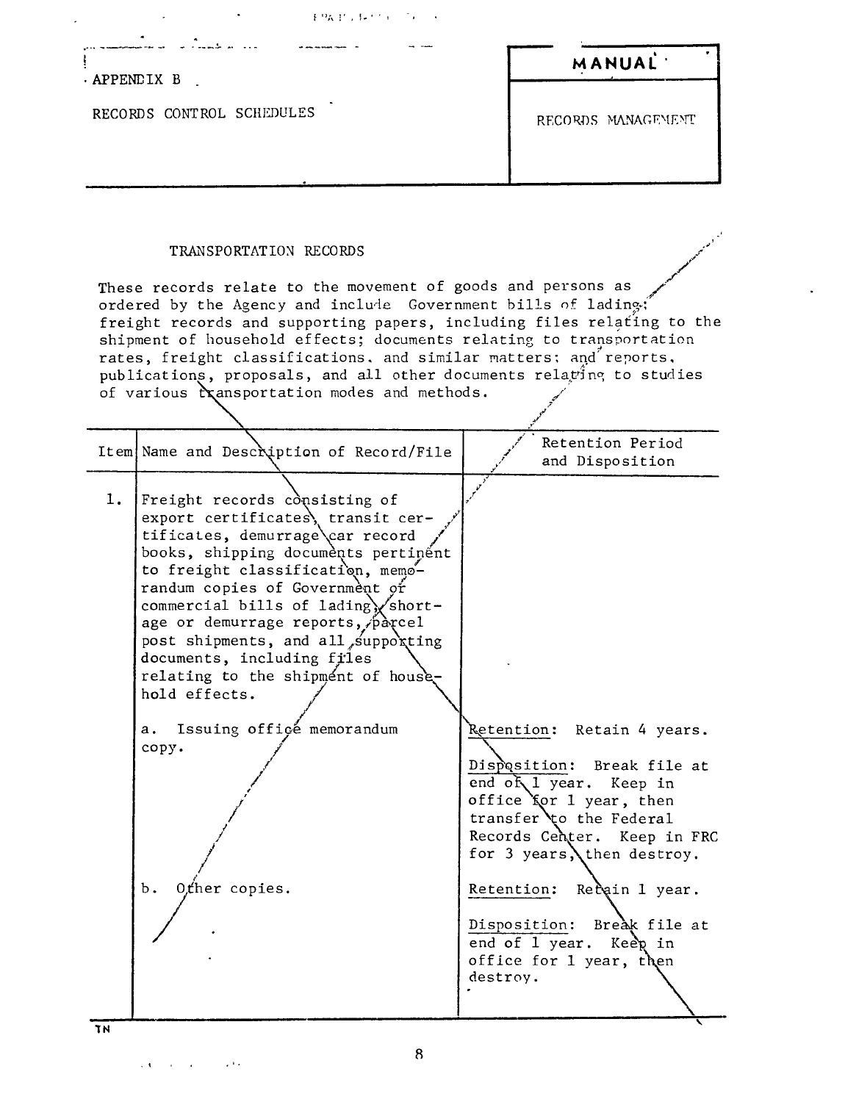| 不良な せっきょくかいじゅつ いい                                                                                                                                                                                                                                                                                                                                                                                                                                                                                                   |                     |
|---------------------------------------------------------------------------------------------------------------------------------------------------------------------------------------------------------------------------------------------------------------------------------------------------------------------------------------------------------------------------------------------------------------------------------------------------------------------------------------------------------------------|---------------------|
| APPENDIX B                                                                                                                                                                                                                                                                                                                                                                                                                                                                                                          | MANUAL <sup>.</sup> |
| RECORDS CONTROL SCHEDULES                                                                                                                                                                                                                                                                                                                                                                                                                                                                                           | RECORDS MANAGEMENT  |
| TRANSPORTATION RECORDS                                                                                                                                                                                                                                                                                                                                                                                                                                                                                              |                     |
| These records relate to the movement of goods and persons as<br>ordered by the Agency and include Government bills of lading:<br>freight records and supporting papers, including files relating to the<br>shipment of household effects; documents relating to transportation<br>$\mathbf{r}$ , and the second contract of the second contract of the second contract of the second contract of the second contract of the second contract of the second contract of the second contract of the second contract of |                     |

rates, freight classifications, and similar matters; and reports,<br>publications, proposals, and all other documents relating to studies<br>of various reasportation modes and methods.

|          | Item Name and Description of Record/File                                                                                                                                                                                                                                                                                                                                                                                                                                                  | Retention Period<br>and Disposition                                                                                                                                                                                                                                                                                               |
|----------|-------------------------------------------------------------------------------------------------------------------------------------------------------------------------------------------------------------------------------------------------------------------------------------------------------------------------------------------------------------------------------------------------------------------------------------------------------------------------------------------|-----------------------------------------------------------------------------------------------------------------------------------------------------------------------------------------------------------------------------------------------------------------------------------------------------------------------------------|
| 1.<br>ĩΝ | Freight records consisting of<br>export certificates, transit cer-<br>tificates, demurrage car record<br>books, shipping documents pertinent<br>to freight classification, memo-<br>randum copies of Government or<br>commercial bills of lading short-<br>age or demurrage reports, parcel<br>post shipments, and all supporting<br>documents, including files<br>relating to the shipment of house-<br>hold effects.<br>Issuing office memorandum<br>а.<br>copy.<br>Other copies.<br>Ъ. | Retention: Retain 4 years.<br>Disposition: Break file at<br>end of 1 year. Keep in<br>office for 1 year, then<br>transfer to the Federal<br>Records Center. Keep in FRC<br>for 3 years, then destroy.<br>Retention: Recain 1 year.<br>Disposition: Break file at<br>end of 1 year. Keep in<br>office for 1 year, then<br>destroy. |
|          |                                                                                                                                                                                                                                                                                                                                                                                                                                                                                           |                                                                                                                                                                                                                                                                                                                                   |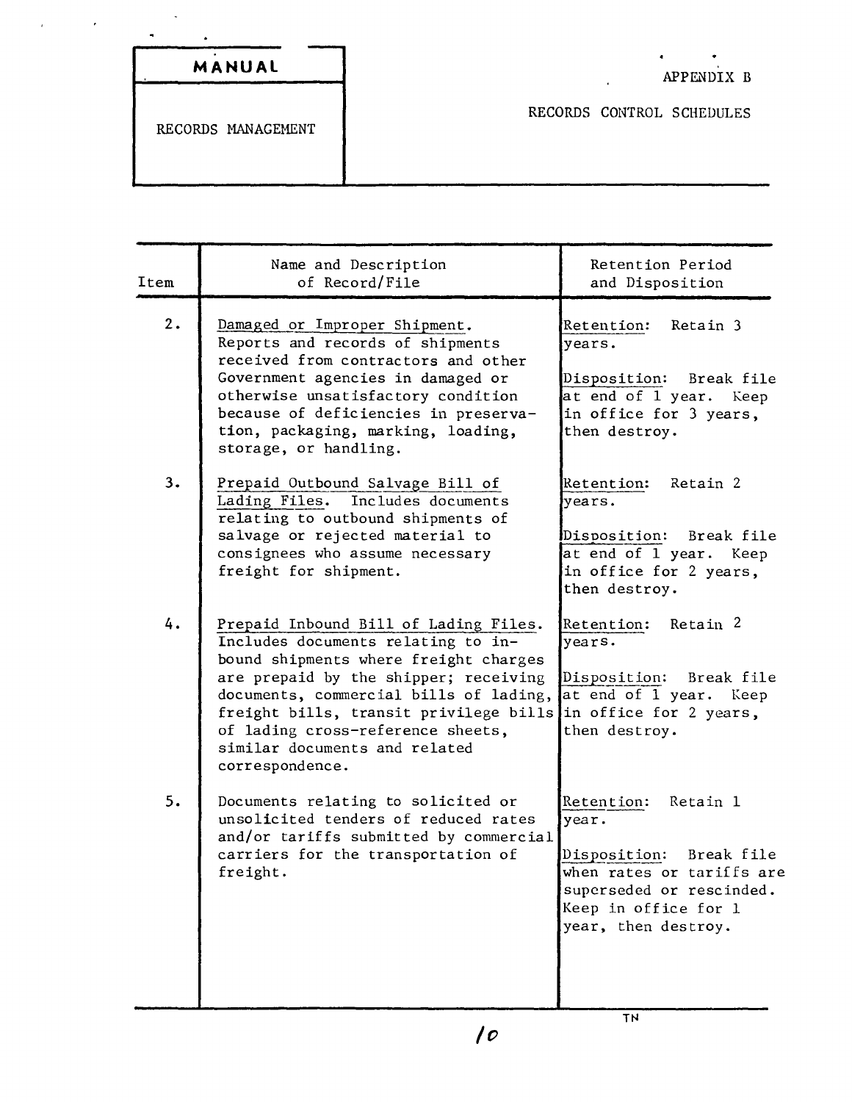| MANUAL |  |
|--------|--|

 $\chi^2$  and  $\chi^2$  and  $\chi^2$ 

 $\mathbf{r}$ 

RECORDS CONTROL SCHEDULES

 $\ddot{\phantom{a}}$ 

 $\bullet$ 

| Item | Name and Description<br>of Record/File                                                                                                                                                                                                                                                                                                     | Retention Period<br>and Disposition                                                                                                                                |
|------|--------------------------------------------------------------------------------------------------------------------------------------------------------------------------------------------------------------------------------------------------------------------------------------------------------------------------------------------|--------------------------------------------------------------------------------------------------------------------------------------------------------------------|
| 2.   | Damaged or Improper Shipment.<br>Reports and records of shipments<br>received from contractors and other<br>Government agencies in damaged or<br>otherwise unsatisfactory condition<br>because of deficiencies in preserva-<br>tion, packaging, marking, loading,<br>storage, or handling.                                                 | Retention:<br>Retain 3<br>years.<br>Disposition:<br>Break file<br>at end of 1 year. Keep<br>in office for 3 years,<br>then destroy.                                |
| 3.   | Prepaid Outbound Salvage Bill of<br>Lading Files.<br>Includes documents<br>relating to outbound shipments of<br>salvage or rejected material to<br>consignees who assume necessary<br>freight for shipment.                                                                                                                                | Retention:<br>Retain 2<br>$\forall$ ears.<br>Disposition: Break file<br>at end of 1 year. Keep<br>in office for 2 years,<br>then destroy.                          |
| 4.   | Prepaid Inbound Bill of Lading Files.<br>Includes documents relating to in-<br>bound shipments where freight charges<br>are prepaid by the shipper; receiving<br>documents, commercial bills of lading,<br>freight bills, transit privilege bills<br>of lading cross-reference sheets,<br>similar documents and related<br>correspondence. | Retention: Retain 2<br>years.<br>Disposition: Break file<br>at end of 1 year. Keep<br>in office for 2 years,<br>then destroy.                                      |
| 5.   | Documents relating to solicited or<br>unsolicited tenders of reduced rates<br>and/or tariffs submitted by commercial<br>carriers for the transportation of<br>freight.                                                                                                                                                                     | Retention:<br>Retain 1<br>year.<br>Disposition: Break file<br>when rates or tariffs are<br>superseded or rescinded.<br>Keep in office for 1<br>year, then destroy. |
|      |                                                                                                                                                                                                                                                                                                                                            |                                                                                                                                                                    |

TN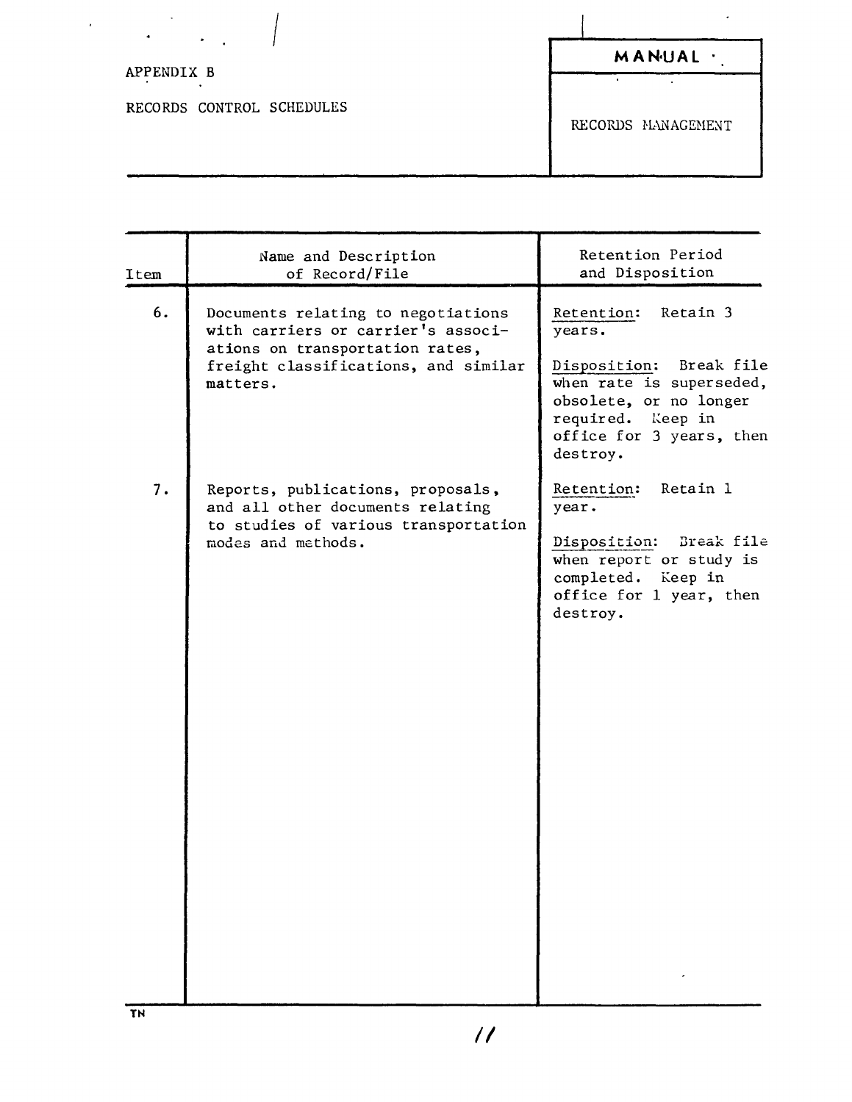| $\bullet$                 |                    |
|---------------------------|--------------------|
| ٠                         | MANUAL             |
| APPENDIX B                |                    |
| RECORDS CONTROL SCHEDULES | RECORDS MANAGEMENT |

 $\ddot{\phantom{a}}$ 

| Item | Name and Description<br>of Record/File                                                                                                                          | Retention Period<br>and Disposition                                                                                                                                         |
|------|-----------------------------------------------------------------------------------------------------------------------------------------------------------------|-----------------------------------------------------------------------------------------------------------------------------------------------------------------------------|
| 6.   | Documents relating to negotiations<br>with carriers or carrier's associ-<br>ations on transportation rates,<br>freight classifications, and similar<br>matters. | Retention: Retain 3<br>years.<br>Disposition: Break file<br>when rate is superseded,<br>obsolete, or no longer<br>required. Keep in<br>office for 3 years, then<br>destroy. |
| 7.   | Reports, publications, proposals,<br>and all other documents relating<br>to studies of various transportation<br>modes and methods.                             | Retention: Retain 1<br>year.<br>Disposition: Break file<br>when report or study is<br>completed. Keep in<br>office for 1 year, then<br>destroy.                             |

 $\ddot{\phantom{0}}$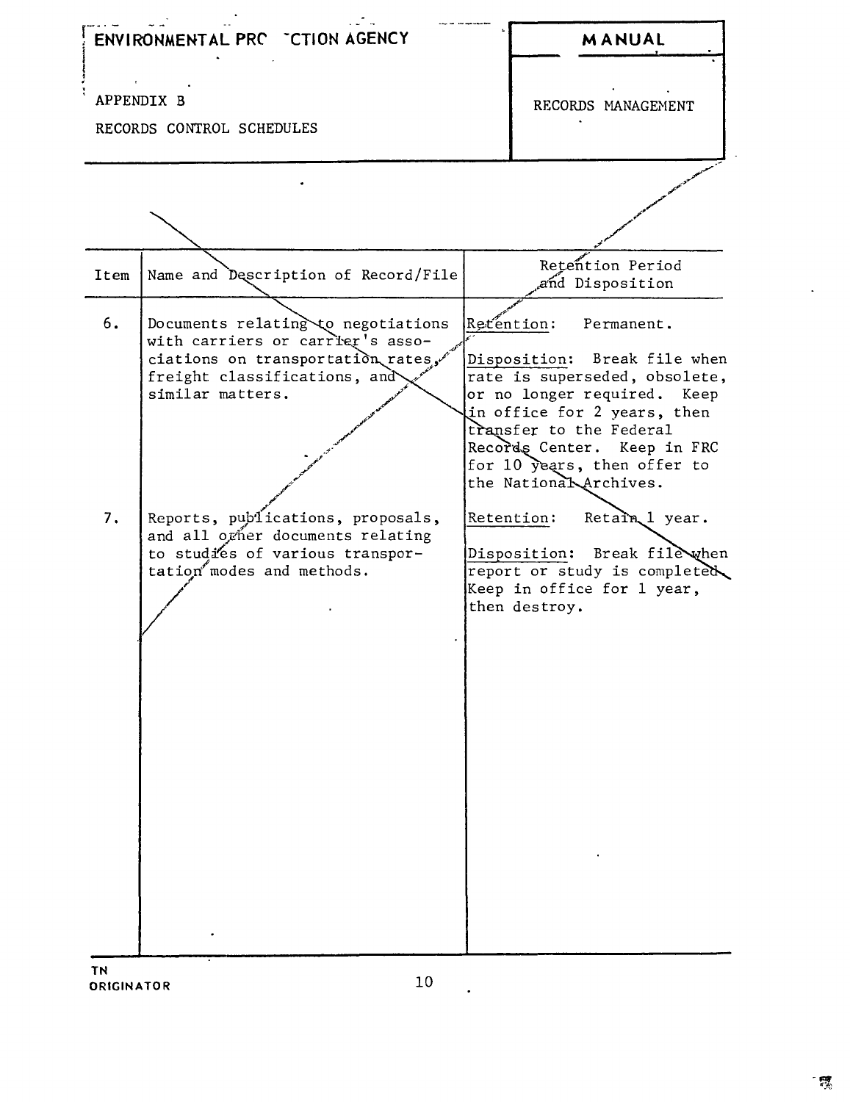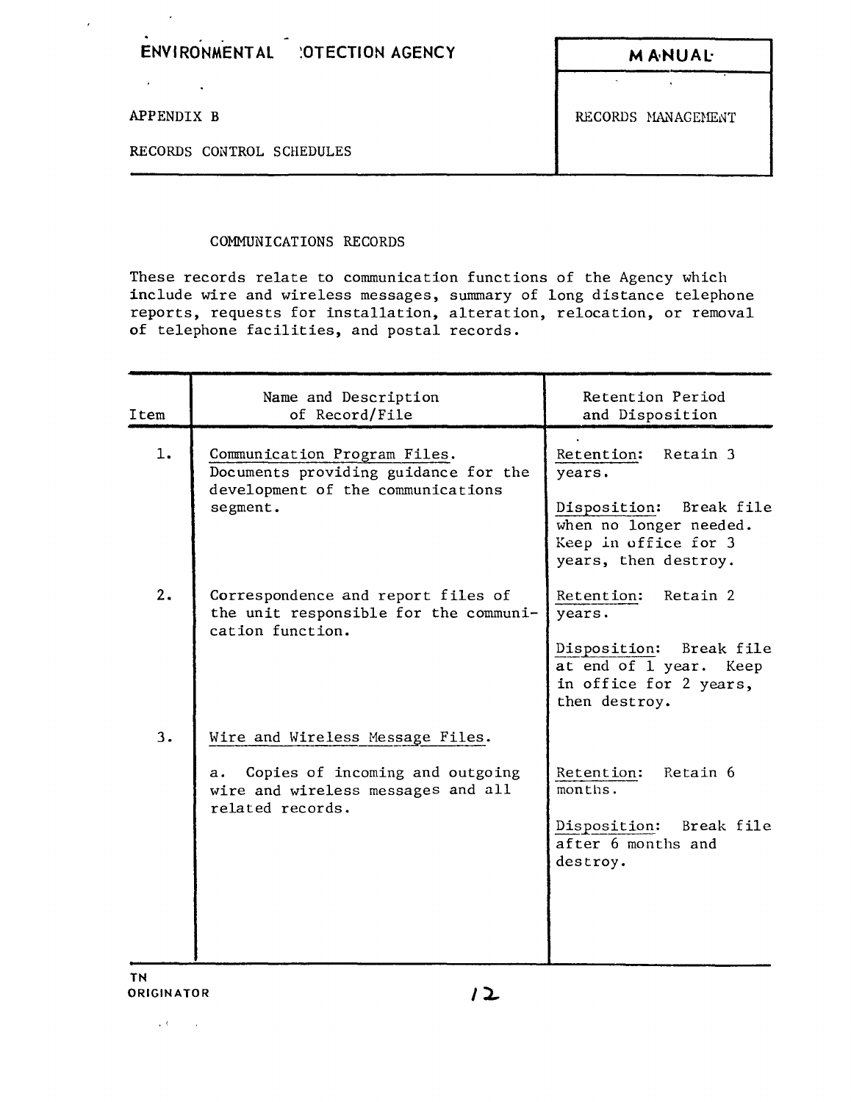| <b>MANUAL</b>      |
|--------------------|
|                    |
| RECORDS MANAGEMENT |
|                    |
|                    |

## COMMUNICATIONS RECORDS

 $\epsilon$ 

These records relate to communication functions of the Agency which include wire and wireless messages, summary of long distance telephone reports, requests for installation, alteration, relocation, or removal of telephone facilities, and postal records.

| Item | Name and Description<br>of Record/File                                                                                              | Retention Period<br>and Disposition                                                                                                   |
|------|-------------------------------------------------------------------------------------------------------------------------------------|---------------------------------------------------------------------------------------------------------------------------------------|
| 1.   | Communication Program Files.<br>Documents providing guidance for the<br>development of the communications<br>segment.               | Retention:<br>Retain 3<br>years.<br>Disposition: Break file<br>when no longer needed.<br>Keep in office for 3<br>years, then destroy. |
| 2.   | Correspondence and report files of<br>the unit responsible for the communi-<br>cation function.                                     | Retention:<br>Retain 2<br>years.<br>Disposition: Break file<br>at end of 1 year. Keep<br>in office for 2 years,<br>then destroy.      |
| 3.   | Wire and Wireless Message Files.<br>Copies of incoming and outgoing<br>а.<br>wire and wireless messages and all<br>related records. | Retention:<br>Retain 6<br>months.<br>Disposition: Break file<br>after 6 months and<br>destroy.                                        |

,  $\mathbf{U}$  , and  $\mathbf{U}$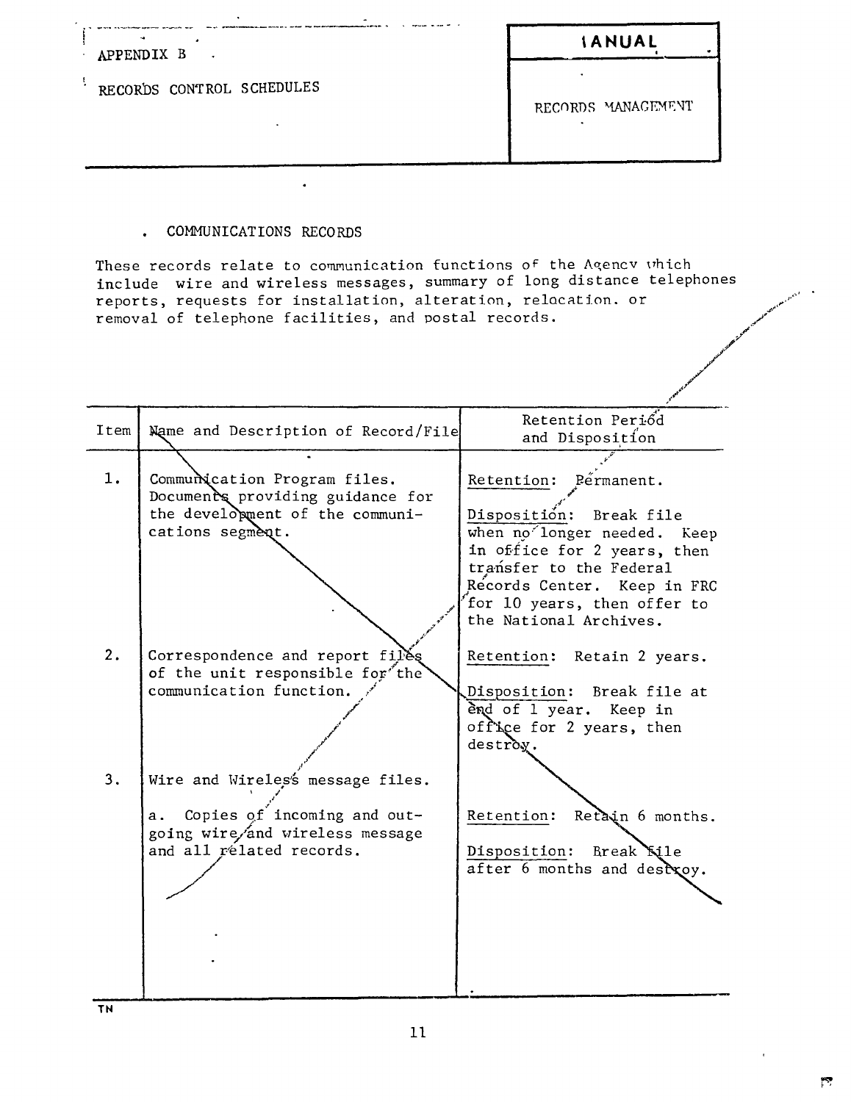| $\ddot{}$<br>APPENDIX B<br>$\sim$ | <b>IANUAL</b>      |
|-----------------------------------|--------------------|
| RECORDS CONTROL SCHEDULES         | RECORDS MANAGEMENT |
|                                   |                    |

## . COMMUNICATIONS RECORDS

These records relate to communication functions of the Agency which include wire and wireless messages, summary of long distance telephones reports, requests for installation, alteration, relocation. or removal of telephone facilities, and postal records.

| Item | Name and Description of Record/File                                                                                                   | Retention Periód<br>and Disposition                                                                                                                                                                                               |
|------|---------------------------------------------------------------------------------------------------------------------------------------|-----------------------------------------------------------------------------------------------------------------------------------------------------------------------------------------------------------------------------------|
| 1.   | Communication Program files.<br>Documents providing guidance for<br>the development of the communi-<br>cations segment.               | Retention: Permanent.<br>Disposition: Break file<br>when no longer needed. Keep<br>in office for 2 years, then<br>transfer to the Federal<br>Records Center. Keep in FRC<br>for 10 years, then offer to<br>the National Archives. |
| 2.   | Correspondence and report files<br>of the unit responsible for the<br>communication function.                                         | Retention: Retain 2 years.<br>Disposition: Break file at<br>ènd of 1 year.<br>Keep in<br>office for 2 years, then<br>destroy.                                                                                                     |
| 3.   | Wire and Wireles's message files.<br>Copies of incoming and out-<br>a.<br>going wire/and wireless message<br>and all related records. | Retain 6 months.<br>Retention:<br>Disposition:<br>Break Kile<br>after 6 months and destxoy.                                                                                                                                       |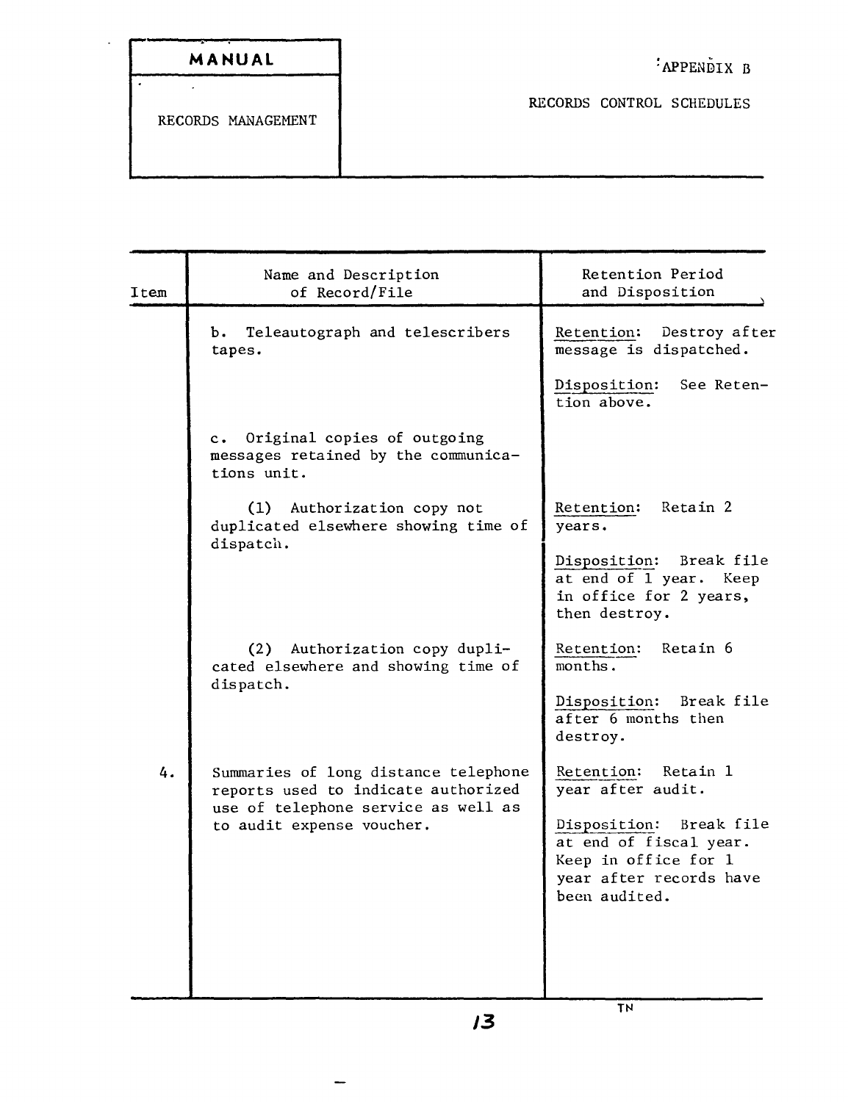| MANUAL |  |  |  |
|--------|--|--|--|
|        |  |  |  |

Ţ

l.

l.

RECORDS CONTROL SCHEDULES

RECORDS MANAGEMENT

| Item | Name and Description<br>of Record/File                                                                             | Retention Period<br>and Disposition                                                                                   |
|------|--------------------------------------------------------------------------------------------------------------------|-----------------------------------------------------------------------------------------------------------------------|
|      | Teleautograph and telescribers<br>ь.<br>tapes.                                                                     | Destroy after<br>Retention:<br>message is dispatched.                                                                 |
|      |                                                                                                                    | See Reten-<br>Disposition:<br>tion above.                                                                             |
|      | c. Original copies of outgoing<br>messages retained by the communica-<br>tions unit.                               |                                                                                                                       |
|      | (1) Authorization copy not<br>duplicated elsewhere showing time of<br>dispatch.                                    | Retention: Retain 2<br>years.                                                                                         |
|      |                                                                                                                    | Disposition: Break file<br>at end of 1 year. Keep<br>in office for 2 years,<br>then destroy.                          |
|      | (2) Authorization copy dupli-<br>cated elsewhere and showing time of<br>dispatch.                                  | Retention:<br>Retain 6<br>months.                                                                                     |
|      |                                                                                                                    | Disposition: Break file<br>after 6 months then<br>destroy.                                                            |
| 4.   | Summaries of long distance telephone<br>reports used to indicate authorized<br>use of telephone service as well as | Retention: Retain 1<br>year after audit.                                                                              |
|      | to audit expense voucher.                                                                                          | Disposition: Break file<br>at end of fiscal year.<br>Keep in office for 1<br>year after records have<br>been audited. |
|      |                                                                                                                    |                                                                                                                       |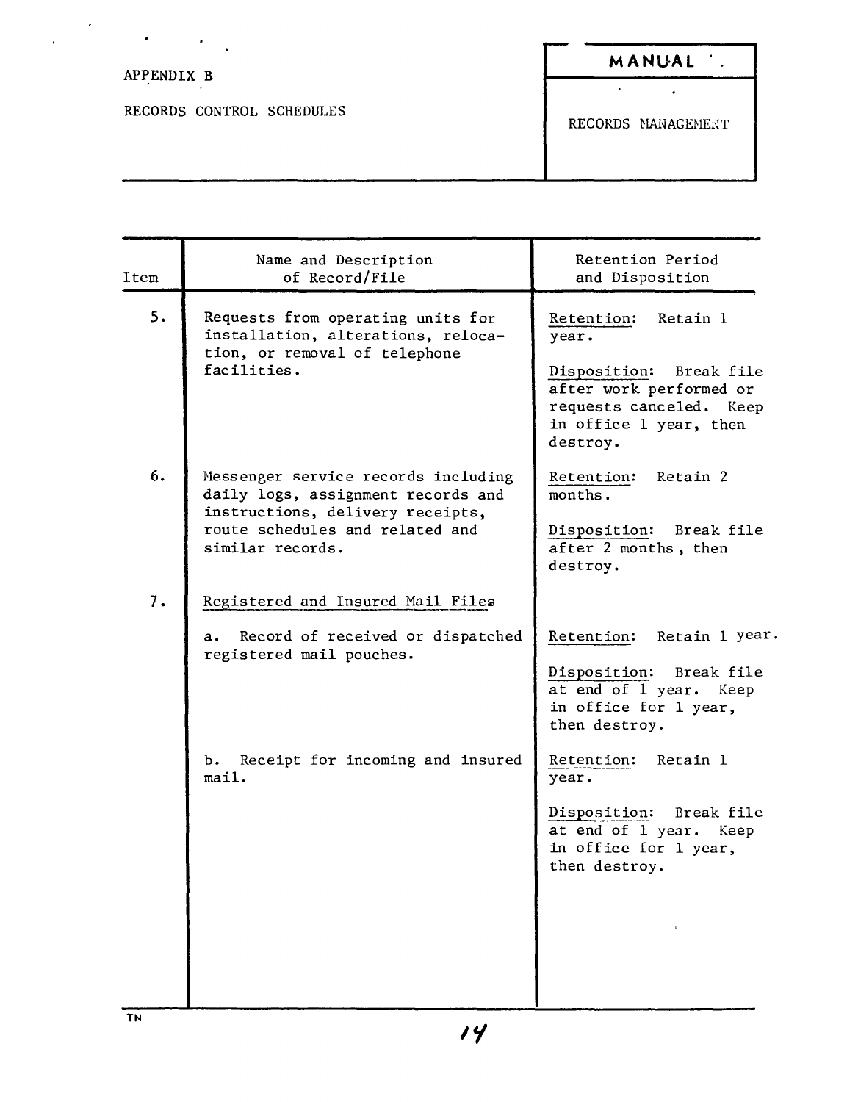| APPENDIX B                | MANUAL .           |
|---------------------------|--------------------|
|                           |                    |
| RECORDS CONTROL SCHEDULES | RECORDS MANAGEMENT |

| Item | Name and Description<br>of Record/File                                                                                                                               | Retention Period<br>and Disposition                                                                                                                    |
|------|----------------------------------------------------------------------------------------------------------------------------------------------------------------------|--------------------------------------------------------------------------------------------------------------------------------------------------------|
| 5.   | Requests from operating units for<br>installation, alterations, reloca-<br>tion, or removal of telephone<br>facilities.                                              | Retention:<br>Retain 1<br>year.<br>Disposition: Break file<br>after work performed or<br>requests canceled. Keep<br>in office 1 year, then<br>destroy. |
| 6.   | Messenger service records including<br>daily logs, assignment records and<br>instructions, delivery receipts,<br>route schedules and related and<br>similar records. | Retention: Retain 2<br>months.<br>Disposition: Break file<br>after 2 months, then<br>destroy.                                                          |
| 7.   | Registered and Insured Mail Files<br>Record of received or dispatched<br>а.<br>registered mail pouches.                                                              | Retention:<br>Retain 1 year.<br>Disposition:<br>Break file<br>at end of 1 year. Keep<br>in office for 1 year,<br>then destroy.                         |
|      | Receipt for incoming and insured<br>Ъ.<br>mail.                                                                                                                      | Retention:<br>Retain 1<br>year.<br>Disposition:<br>Break file<br>at end of 1 year. Keep<br>in office for 1 year,<br>then destroy.                      |

 $\ddot{\phantom{0}}$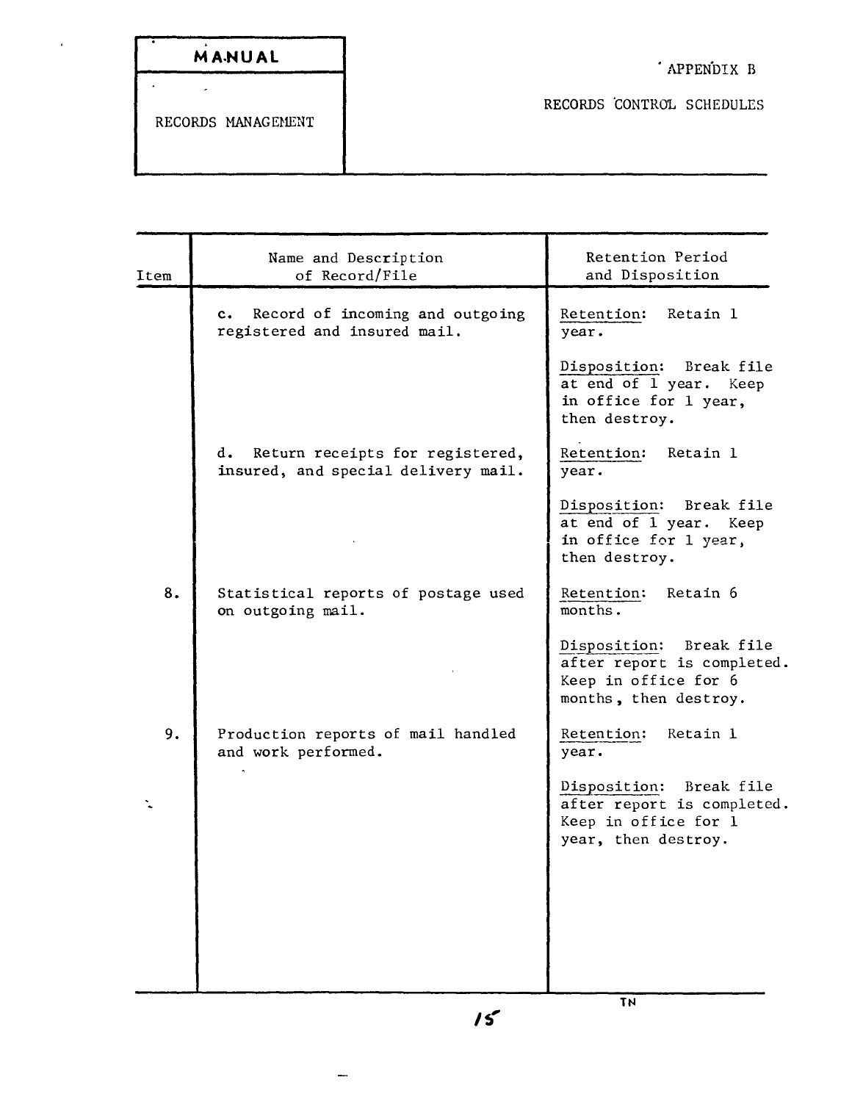| MANUAL |  |  |
|--------|--|--|
|        |  |  |

 $\overline{\phantom{a}}$ 

RECORDS CONTROL SCHEDULES

RECORDS MANAGEMENT

 $\ddot{\phantom{0}}$ 

 $\ddot{\phantom{a}}$ 

| Item | Name and Description<br>of Record/File                                           | Retention Period<br>and Disposition                                                                    |
|------|----------------------------------------------------------------------------------|--------------------------------------------------------------------------------------------------------|
|      | Record of incoming and outgoing<br>$c_{\bullet}$<br>registered and insured mail. | Retention:<br>Retain 1<br>year.                                                                        |
|      |                                                                                  | Disposition:<br>Break file<br>at end of 1 year. Keep<br>in office for 1 year,<br>then destroy.         |
|      | d. Return receipts for registered,<br>insured, and special delivery mail.        | Retention:<br>Retain 1<br>year.                                                                        |
|      |                                                                                  | Disposition:<br>Break file<br>at end of 1 year. Keep<br>in office for 1 year,<br>then destroy.         |
| 8.   | Statistical reports of postage used<br>on outgoing mail.                         | Retain 6<br>Retention:<br>months.                                                                      |
|      |                                                                                  | Disposition: Break file<br>after report is completed.<br>Keep in office for 6<br>months, then destroy. |
| 9.   | Production reports of mail handled<br>and work performed.                        | Retention: Retain 1<br>year.                                                                           |
|      |                                                                                  | Disposition: Break file<br>after report is completed.<br>Keep in office for 1<br>year, then destroy.   |
|      |                                                                                  |                                                                                                        |
|      |                                                                                  |                                                                                                        |
|      |                                                                                  | <b>TN</b>                                                                                              |

 $\overline{\phantom{0}}$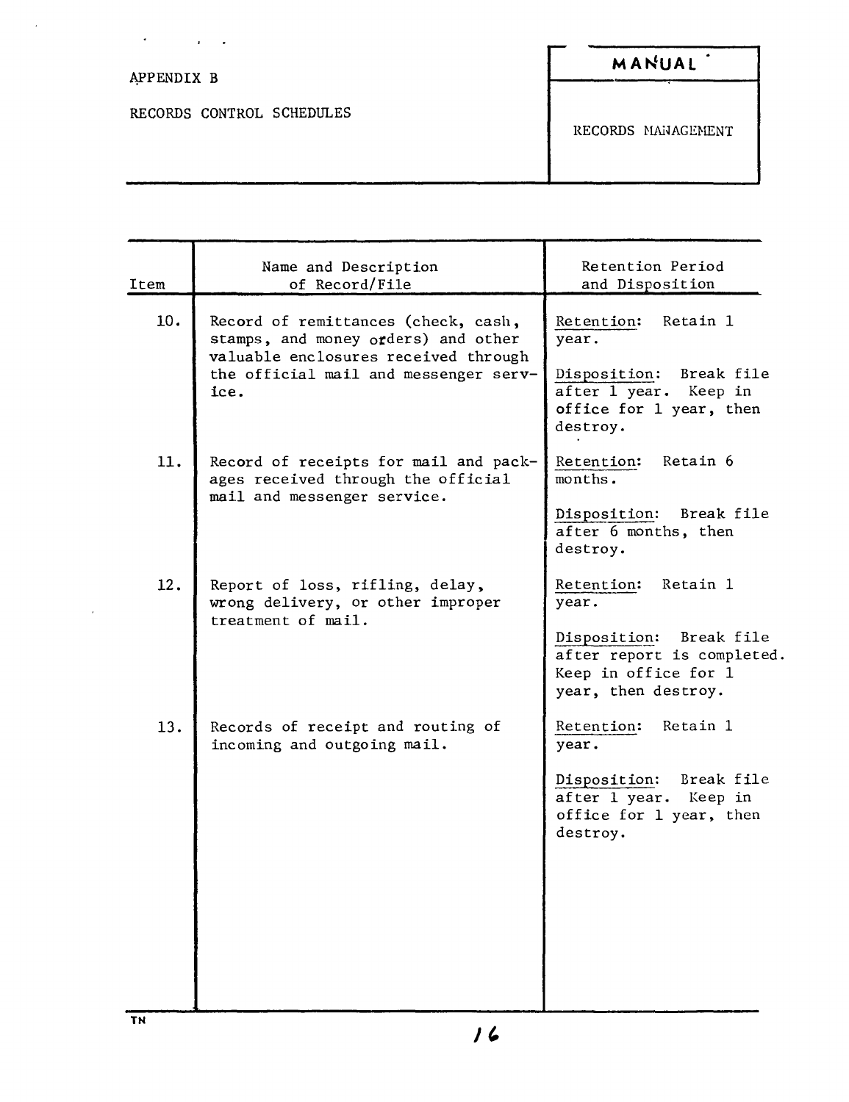| $\blacksquare$<br>$\bullet$ |                    |
|-----------------------------|--------------------|
| APPENDIX B                  | MANUAL             |
| RECORDS CONTROL SCHEDULES   | RECORDS MANAGEMENT |

| Item | Name and Description<br>of Record/File                                                                                                                              | Retention Period<br>and Disposition                                                                                                  |
|------|---------------------------------------------------------------------------------------------------------------------------------------------------------------------|--------------------------------------------------------------------------------------------------------------------------------------|
| 10.  | Record of remittances (check, cash,<br>stamps, and money orders) and other<br>valuable enclosures received through<br>the official mail and messenger serv-<br>ice. | Retain 1<br>Retention:<br>year.<br>Disposition: Break file<br>after 1 year. Keep in<br>office for 1 year, then<br>destroy.           |
| 11.  | Record of receipts for mail and pack-<br>ages received through the official<br>mail and messenger service.                                                          | Retain 6<br>Retention:<br>months.<br>Disposition: Break file<br>after 6 months, then<br>destroy.                                     |
| 12.  | Report of loss, rifling, delay,<br>wrong delivery, or other improper<br>treatment of mail.                                                                          | Retention: Retain 1<br>year.<br>Disposition: Break file<br>after report is completed.<br>Keep in office for 1<br>year, then destroy. |
| 13.  | Records of receipt and routing of<br>incoming and outgoing mail.                                                                                                    | Retain 1<br>Retention:<br>year.<br>Disposition:<br>Break file<br>after 1 year.<br>Keep in<br>office for 1 year, then<br>destroy.     |

 $\overline{1}$ 

 $\overline{a}$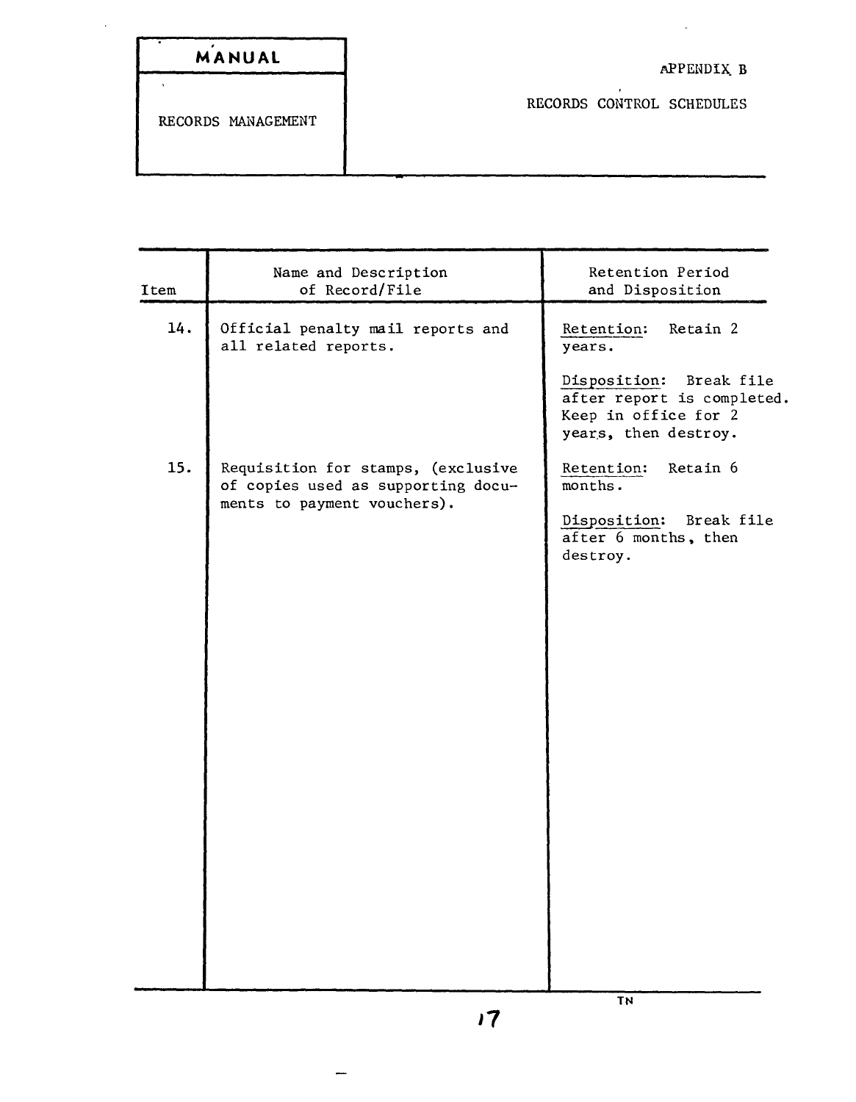| MANUAL |  |  |  |
|--------|--|--|--|

 $\ddot{\phantom{0}}$ 

 $\sim$   $\sim$ 

RECORDS CONTROL SCHEDULES

RECORDS MANAGEMENT

| Item | Name and Description<br>of Record/File                                                                  | Retention Period<br>and Disposition                                                                   |
|------|---------------------------------------------------------------------------------------------------------|-------------------------------------------------------------------------------------------------------|
| 14.  | Official penalty mail reports and<br>all related reports.                                               | Retain 2<br>Retention:<br>years.                                                                      |
|      |                                                                                                         | Disposition: Break file<br>after report is completed.<br>Keep in office for 2<br>years, then destroy. |
| 15.  | Requisition for stamps, (exclusive<br>of copies used as supporting docu-<br>ments to payment vouchers). | Retain 6<br>Retention:<br>months.                                                                     |
|      |                                                                                                         | Disposition:<br>Break file<br>after 6 months, then<br>destroy.                                        |
|      |                                                                                                         |                                                                                                       |
|      |                                                                                                         |                                                                                                       |
|      |                                                                                                         |                                                                                                       |
|      |                                                                                                         |                                                                                                       |
|      |                                                                                                         | <b>TN</b>                                                                                             |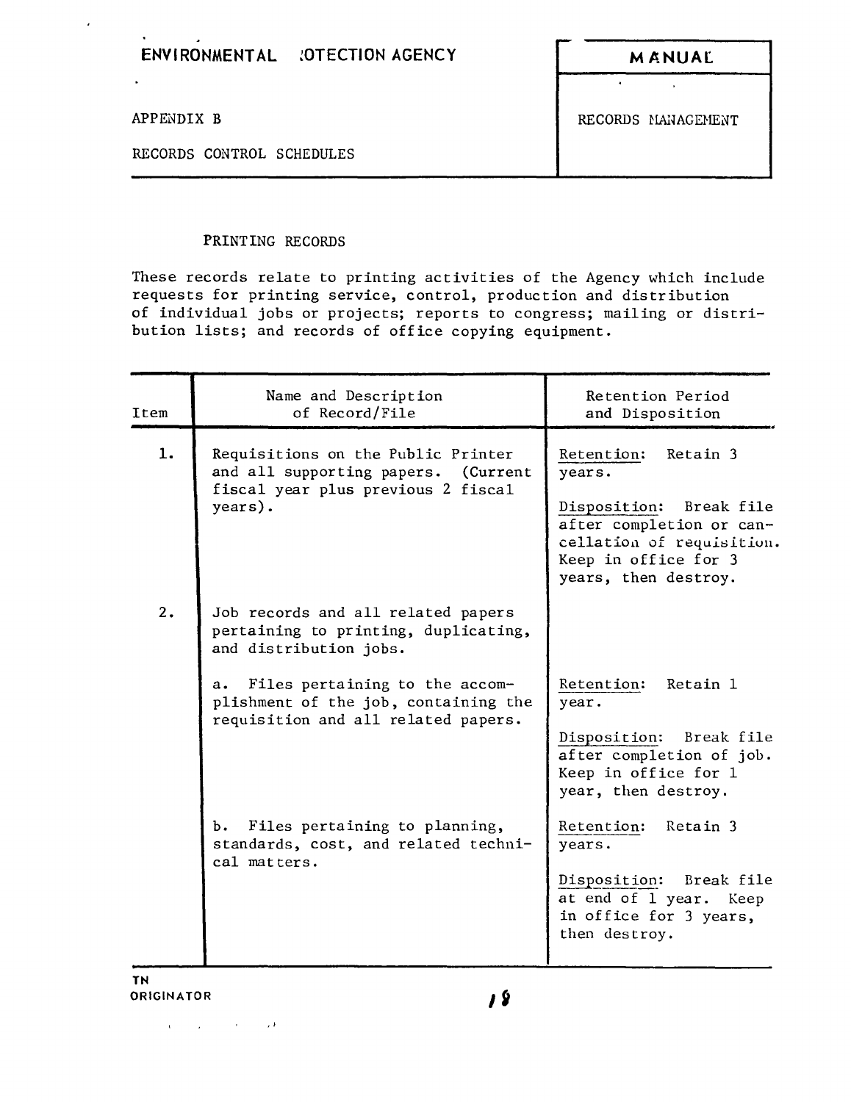## ENVIRONMENTAL : OTECTION AGENCY **MANUAL**

 $\mathbf{r}$ 

 $\hat{\mathcal{L}}$ 

RECORDS CONTROL SCHEDULES

 $\hat{\mathbf{r}}$ 

 $\mathbf{v}$ 

APPENDIX B RECORDS MANAGEMENT

## PRINTING RECORDS

These records relate to printing activities of the Agency which include requests for printing service, control, production and distribution of individual jobs or projects; reports to congress; mailing or distribution lists; and records of office copying equipment.

| Name and Description<br>of Record/File                                                                                                                                                                                      | Retention Period<br>and Disposition                                                                                                                               |
|-----------------------------------------------------------------------------------------------------------------------------------------------------------------------------------------------------------------------------|-------------------------------------------------------------------------------------------------------------------------------------------------------------------|
| Requisitions on the Public Printer<br>and all supporting papers.<br>(Current<br>fiscal year plus previous 2 fiscal<br>years).                                                                                               | Retention: Retain 3<br>years.<br>Disposition: Break file<br>after completion or can-<br>cellation of requisition.<br>Keep in office for 3<br>years, then destroy. |
| Job records and all related papers<br>pertaining to printing, duplicating,<br>and distribution jobs.<br>Files pertaining to the accom-<br>a.<br>plishment of the job, containing the<br>requisition and all related papers. | Retention:<br>Retain 1<br>year.<br>Disposition: Break file                                                                                                        |
|                                                                                                                                                                                                                             | after completion of job.<br>Keep in office for 1<br>year, then destroy.                                                                                           |
| b. Files pertaining to planning,<br>standards, cost, and related techni-<br>cal matters.                                                                                                                                    | Retention:<br>Retain 3<br>years.<br>Disposition: Break file<br>at end of 1 year. Keep<br>in office for 3 years,<br>then destroy.                                  |
|                                                                                                                                                                                                                             |                                                                                                                                                                   |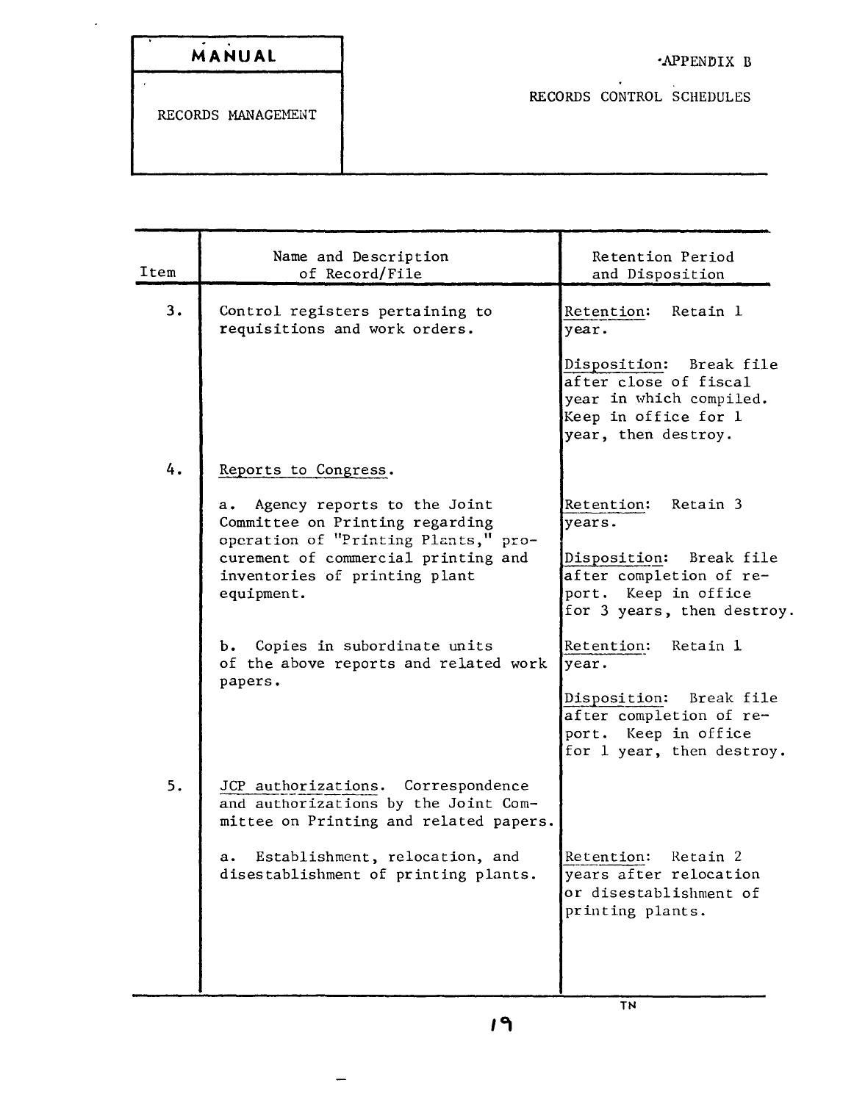| MANUAL |  |  |  |
|--------|--|--|--|

 $\hat{\boldsymbol{\epsilon}}$ 

 $\overline{a}$ 

RECORDS CONTROL SCHEDULES

| Item | Name and Description<br>of Record/File                                                                                                                                                                                                                                                                        | Retention Period<br>and Disposition                                                                                                                                                                        |
|------|---------------------------------------------------------------------------------------------------------------------------------------------------------------------------------------------------------------------------------------------------------------------------------------------------------------|------------------------------------------------------------------------------------------------------------------------------------------------------------------------------------------------------------|
| 3.   | Control registers pertaining to<br>requisitions and work orders.                                                                                                                                                                                                                                              | Retention:<br>Retain 1<br>year.<br>Disposition: Break file<br>after close of fiscal<br>year in which compiled.<br>Keep in office for 1<br>year, then destroy.                                              |
| 4.   | Reports to Congress.<br>a. Agency reports to the Joint<br>Committee on Printing regarding<br>operation of "Printing Plants," pro-<br>curement of commercial printing and<br>inventories of printing plant<br>equipment.<br>b. Copies in subordinate units<br>of the above reports and related work<br>papers. | Retention:<br>Retain 3<br>years.<br>Disposition: Break file<br>after completion of re-<br>port. Keep in office<br>for 3 years, then destroy.<br>Retention:<br>Retain 1<br>year.<br>Disposition: Break file |
| 5.   | JCP authorizations. Correspondence<br>and authorizations by the Joint Com-<br>mittee on Printing and related papers.<br>Establishment, relocation, and<br>a.<br>disestablishment of printing plants.                                                                                                          | after completion of re-<br>port. Keep in office<br>for 1 year, then destroy.<br>Retain 2<br>Retention:<br>years after relocation<br>or disestablishment of<br>printing plants.                             |
|      |                                                                                                                                                                                                                                                                                                               | <b>TN</b>                                                                                                                                                                                                  |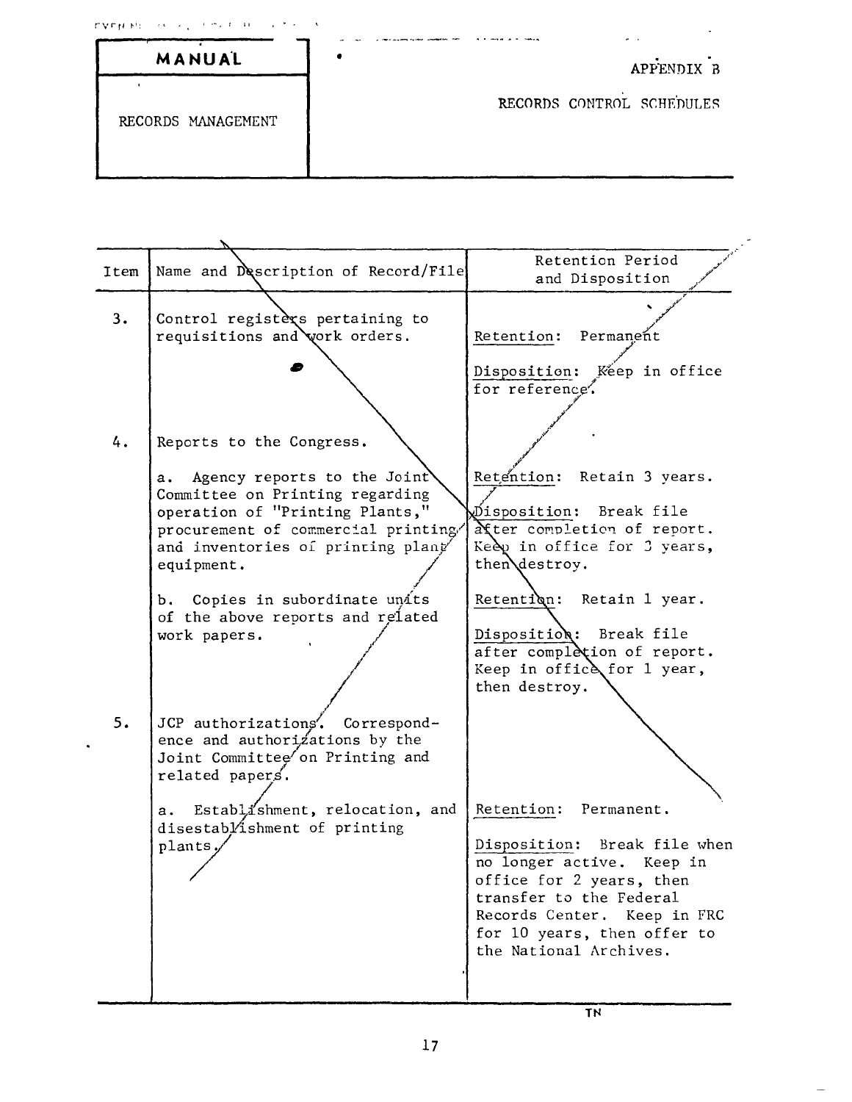| - CALCHER - フォーム シートウィキンキャー コンクラインス | . .                       |
|-------------------------------------|---------------------------|
| MANUAL                              | APPENDIX B                |
| RECORDS MANAGEMENT                  | RECORDS CONTROL SCHEDULES |

| Item | Name and Description of Record/File                                                                                                                                                                                           | Retention Period<br>and Disposition                                                                                                                                                                                               |
|------|-------------------------------------------------------------------------------------------------------------------------------------------------------------------------------------------------------------------------------|-----------------------------------------------------------------------------------------------------------------------------------------------------------------------------------------------------------------------------------|
| 3.   | Control registexs pertaining to<br>requisitions and work orders.                                                                                                                                                              | Retention: Permanent                                                                                                                                                                                                              |
| 4.   |                                                                                                                                                                                                                               | Disposition: Keep in office<br>for reference.                                                                                                                                                                                     |
|      | Reports to the Congress.<br>Agency reports to the Joint<br>а.<br>Committee on Printing regarding<br>operation of "Printing Plants,"<br>procurement of commercial printing/<br>and inventories of printing plant<br>equipment. | Retention: Retain 3 years.<br>Disposition: Break file<br>atter completion of report.<br>Keep in office for 3 years,<br>then destroy.                                                                                              |
|      | b. Copies in subordinate units<br>of the above reports and related<br>work papers.                                                                                                                                            | Retention:<br>Retain 1 year.<br>Disposition: Break file<br>after completion of report.<br>Keep in office for 1 year,<br>then destroy.                                                                                             |
| 5.   | JCP authorizations'. Correspond-<br>ence and authorizations by the<br>Joint Committee on Printing and<br>related papers.<br>Establi'shment, relocation, and<br>а. –<br>disestablishment of printing<br>plants.                | Retention: Permanent.<br>Disposition: Break file when<br>no longer active. Keep in<br>office for 2 years, then<br>transfer to the Federal<br>Records Center. Keep in FRC<br>for 10 years, then offer to<br>the National Archives. |
|      |                                                                                                                                                                                                                               |                                                                                                                                                                                                                                   |

 $\bullet$ 

÷.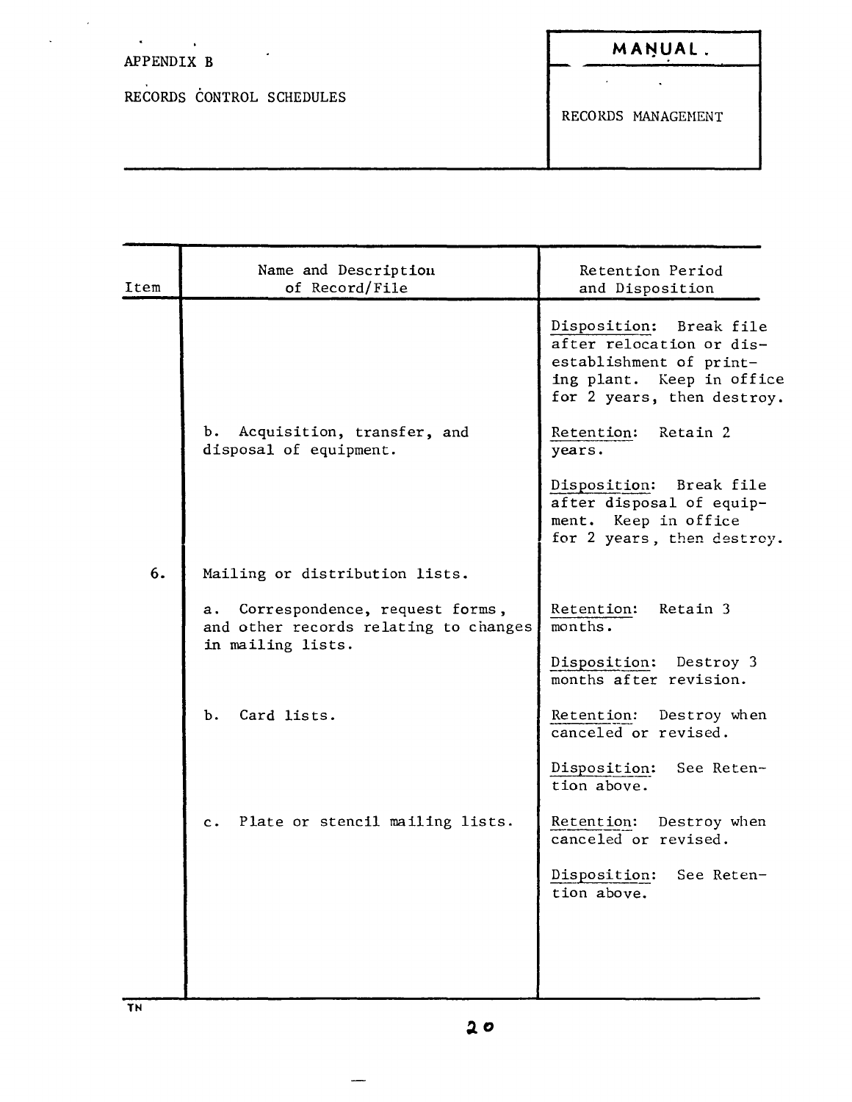## APPENDIX B

 $\sim$   $\sim$ 

 $\mathcal{A}^{\text{max}}$ 

 $\mathcal{A}^{\mathcal{A}}$ 

 $\ddot{\phantom{a}}$ 

RECORDS CONTROL SCHEDULES

 $\Delta \sim 10^{11}$  $\bar{\mathbf{v}}$ 

RECORDS HANAGEHENT

| Item | Name and Description<br>of Record/File                                                          | Retention Period<br>and Disposition                                                                                                       |
|------|-------------------------------------------------------------------------------------------------|-------------------------------------------------------------------------------------------------------------------------------------------|
|      |                                                                                                 | Disposition: Break file<br>after relocation or dis-<br>establishment of print-<br>ing plant. Keep in office<br>for 2 years, then destroy. |
|      | Acquisition, transfer, and<br>ъ.<br>disposal of equipment.                                      | Retention: Retain 2<br>years.                                                                                                             |
|      |                                                                                                 | Disposition: Break file<br>after disposal of equip-<br>ment. Keep in office<br>for 2 years, then destroy.                                 |
| 6.   | Mailing or distribution lists.                                                                  |                                                                                                                                           |
|      | a. Correspondence, request forms,<br>and other records relating to changes<br>in mailing lists. | Retention:<br>Retain 3<br>months.                                                                                                         |
|      |                                                                                                 | Disposition: Destroy 3<br>months after revision.                                                                                          |
|      | Card lists.<br>ъ.                                                                               | Retention: Destroy when<br>canceled or revised.                                                                                           |
|      |                                                                                                 | Disposition: See Reten-<br>tion above.                                                                                                    |
|      | Plate or stencil mailing lists.<br>c.                                                           | Retention: Destroy when<br>canceled or revised.                                                                                           |
|      |                                                                                                 | Disposition: See Reten-<br>tion above.                                                                                                    |
|      |                                                                                                 |                                                                                                                                           |
|      |                                                                                                 |                                                                                                                                           |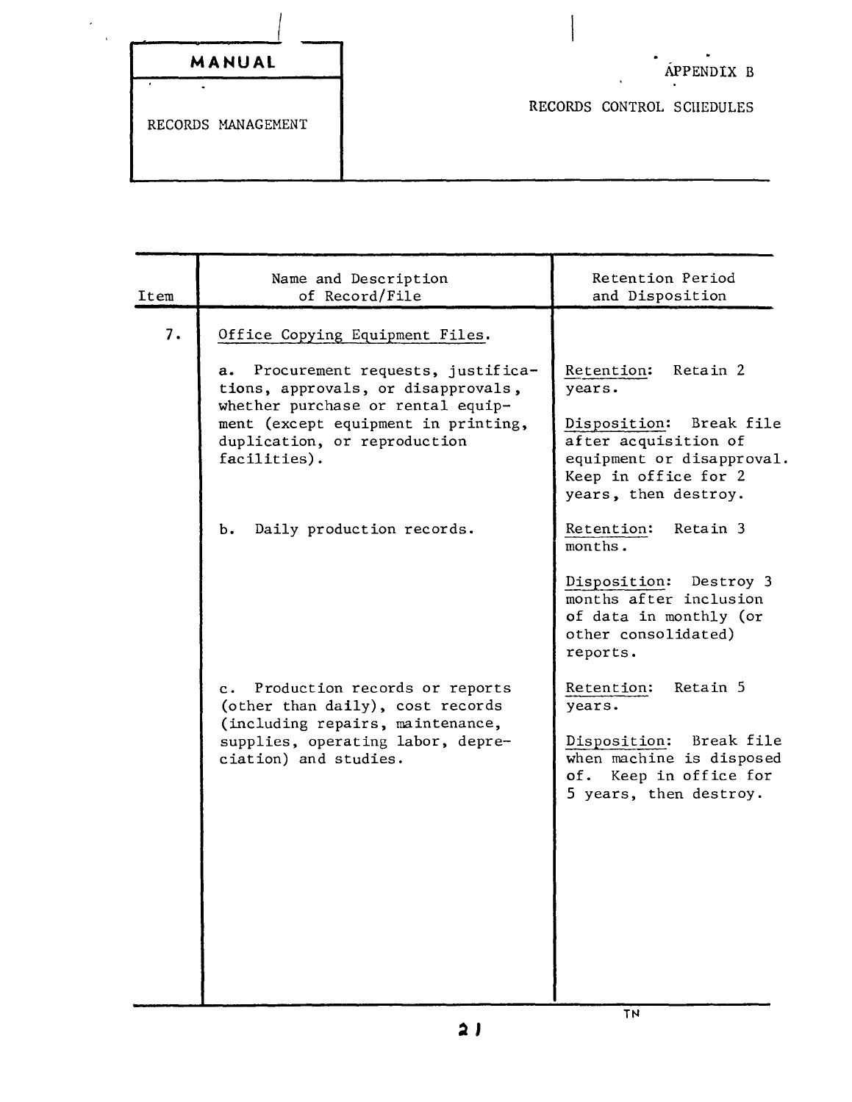| MANUAL |  |  |  |
|--------|--|--|--|
|        |  |  |  |

RECORDS MANAGEMENT

RECORDS CONTROL SCHEDULES

| Item | Name and Description<br>of Record/File                                                                                                                                                                                      | Retention Period<br>and Disposition                                                                                                            |
|------|-----------------------------------------------------------------------------------------------------------------------------------------------------------------------------------------------------------------------------|------------------------------------------------------------------------------------------------------------------------------------------------|
| 7.   | Office Copying Equipment Files.<br>Procurement requests, justifica-<br>а.<br>tions, approvals, or disapprovals,<br>whether purchase or rental equip-<br>ment (except equipment in printing,<br>duplication, or reproduction | Retain 2<br>Retention:<br>years.<br>Break file<br>Disposition:<br>after acquisition of<br>equipment or disapproval.                            |
|      | facilities).<br>Daily production records.<br>ь.                                                                                                                                                                             | Keep in office for 2<br>years, then destroy.<br>Retention:<br>Retain 3                                                                         |
|      |                                                                                                                                                                                                                             | months.<br>Disposition: Destroy 3<br>months after inclusion<br>of data in monthly (or<br>other consolidated)<br>reports.                       |
|      | Production records or reports<br>$c \cdot$<br>(other than daily), cost records<br>(including repairs, maintenance,<br>supplies, operating labor, depre-<br>ciation) and studies.                                            | Retain 5<br>Retention:<br>years.<br>Disposition: Break file<br>when machine is disposed<br>of.<br>Keep in office for<br>5 years, then destroy. |

**TN**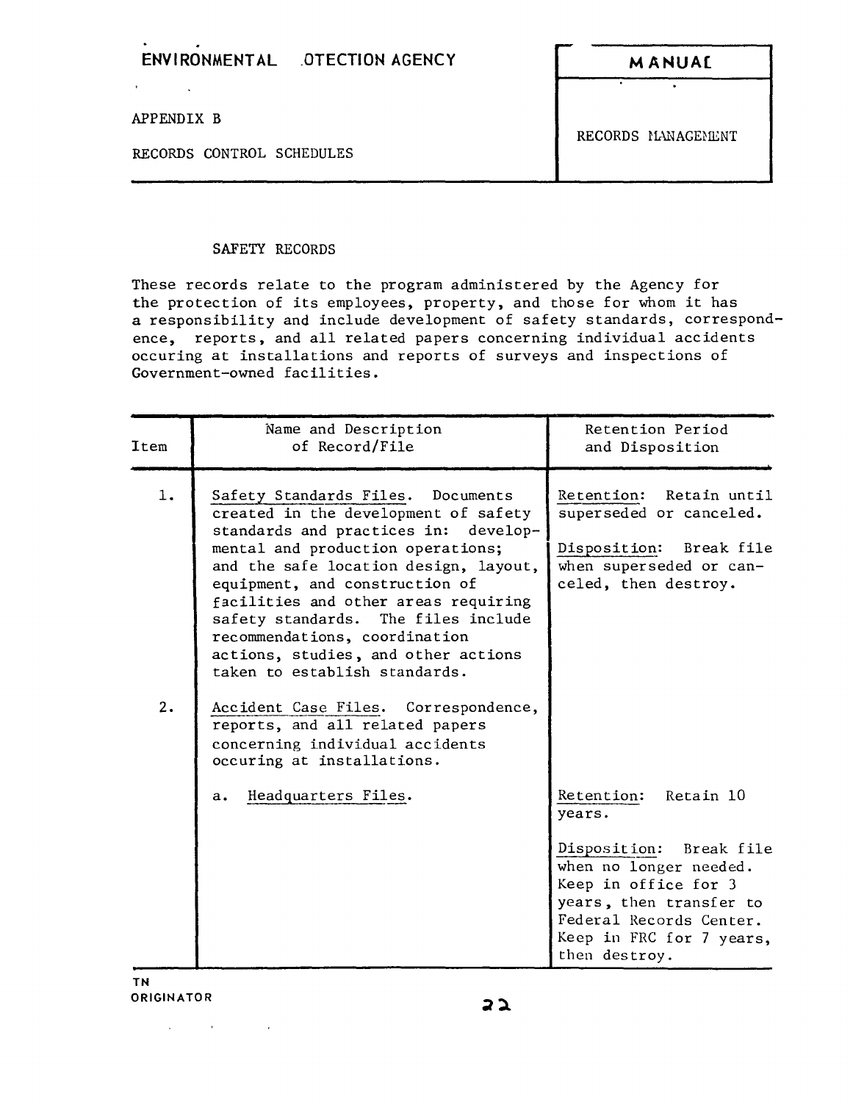## **ENVI RONMENT AL .OTECTION AGENCY M ANUA[**

APPENDIX B

 $\mathbf{r}$ 

RECORDS CONTROL SCHEDULES

RECORDS HANAGENENT

## SAFETY RECORDS

These records relate to the program administered by the Agency for the protection of its employees, property, and those for whom it has a responsibility and include development of safety standards, correspondence, reports, and all related papers concerning individual accidents occuring at installations and reports of surveys and inspections of Government-owned facilities.

| Item     | Name and Description<br>of Record/File                                                                                                                                                                                                                                                                                                                                                                                                                                                                                                                                | Retention Period<br>and Disposition                                                                                                                                                                            |
|----------|-----------------------------------------------------------------------------------------------------------------------------------------------------------------------------------------------------------------------------------------------------------------------------------------------------------------------------------------------------------------------------------------------------------------------------------------------------------------------------------------------------------------------------------------------------------------------|----------------------------------------------------------------------------------------------------------------------------------------------------------------------------------------------------------------|
| 1.<br>2. | Safety Standards Files. Documents<br>created in the development of safety<br>standards and practices in: develop-<br>mental and production operations;<br>and the safe location design, layout,<br>equipment, and construction of<br>facilities and other areas requiring<br>safety standards. The files include<br>recommendations, coordination<br>actions, studies, and other actions<br>taken to establish standards.<br>Accident Case Files. Correspondence,<br>reports, and all related papers<br>concerning individual accidents<br>occuring at installations. | Retention: Retain until<br>superseded or canceled.<br>Disposition: Break file<br>when superseded or can-<br>celed, then destroy.                                                                               |
|          | Headquarters Files.<br>a.                                                                                                                                                                                                                                                                                                                                                                                                                                                                                                                                             | Retention: Retain 10<br>years.<br>Disposition: Break file<br>when no longer needed.<br>Keep in office for 3<br>years, then transfer to<br>Federal Records Center.<br>Keep in FRC for 7 years,<br>then destroy. |

**TN ORIGINATOR**

state of the state of the state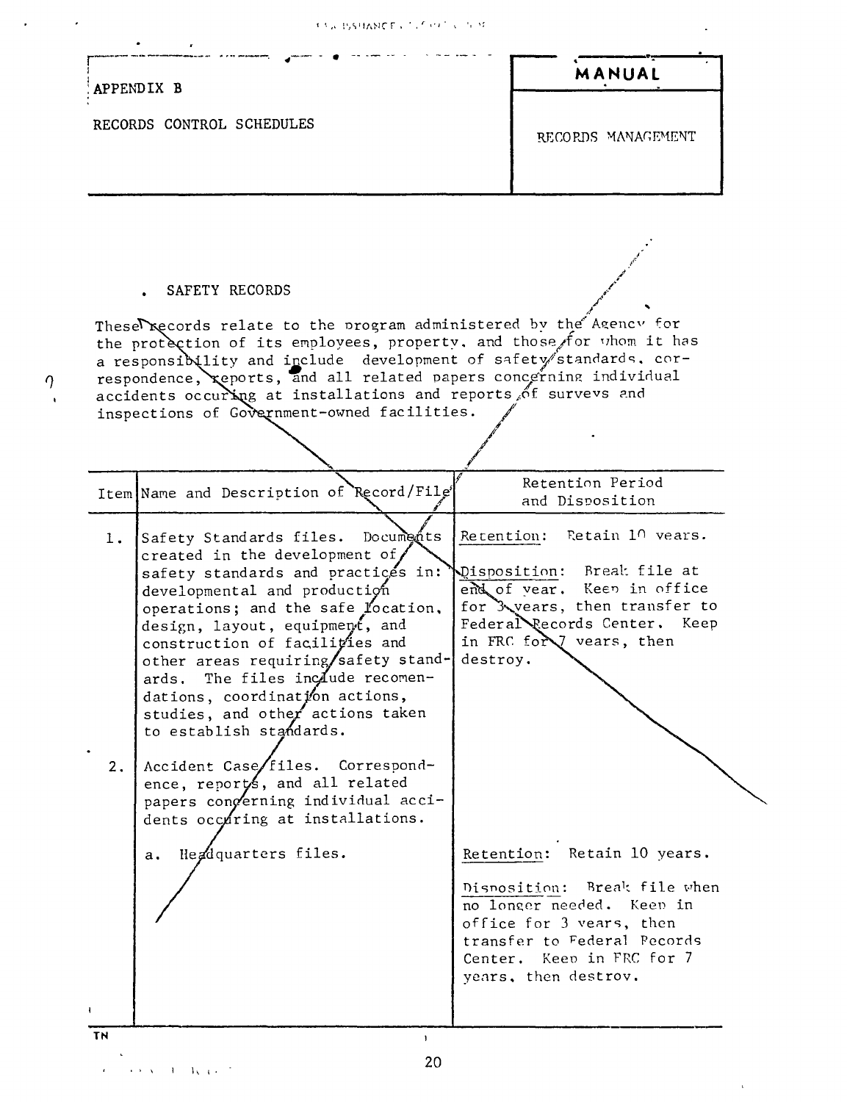$\ddot{\phantom{0}}$ 

 $\hat{\mathcal{A}}$ 

|                           | APPENDIX B                                                                                                                                                                                                                                                                                                                                                                                                                                                                                                                                                                         | MANUAL                                                                                                                                                                                                   |
|---------------------------|------------------------------------------------------------------------------------------------------------------------------------------------------------------------------------------------------------------------------------------------------------------------------------------------------------------------------------------------------------------------------------------------------------------------------------------------------------------------------------------------------------------------------------------------------------------------------------|----------------------------------------------------------------------------------------------------------------------------------------------------------------------------------------------------------|
| RECORDS CONTROL SCHEDULES |                                                                                                                                                                                                                                                                                                                                                                                                                                                                                                                                                                                    | RECORDS MANAGEMENT                                                                                                                                                                                       |
|                           | SAFETY RECORDS<br>Theserecords relate to the program administered by the Agency for<br>the protection of its employees, property, and those for whom it has<br>a responsibility and include development of safety standards. cor-<br>respondence, reports, and all related papers concerning individual<br>accidents occurring at installations and reports of survevs and<br>inspections of Government-owned facilities.                                                                                                                                                          |                                                                                                                                                                                                          |
|                           | Item Name and Description of Record/File'                                                                                                                                                                                                                                                                                                                                                                                                                                                                                                                                          | Retention Period<br>and Disposition                                                                                                                                                                      |
| 1.<br>2.                  | Documents<br>Safety Standards files.<br>created in the development of/<br>safety standards and practices in:<br>developmental and production<br>operations; and the safe location,<br>design, layout, equipment, and<br>construction of facilities and<br>other areas requiring/safety stand-<br>ards. The files include recomen-<br>dations, coordination actions,<br>studies, and other actions taken<br>to establish standards.<br>Accident Case/files. Correspond-<br>ence, reports, and all related<br>papers congerning individual acci-<br>dents occuring at installations. | Retention: Retain 10 vears.<br>Disposition: Break file at<br>end of vear. Keep in office<br>for Xvears, then transfer to<br>Federal Records Center. Keep<br>in FRC for vears, then<br>destroy.           |
|                           | Headquarters files.<br>a.                                                                                                                                                                                                                                                                                                                                                                                                                                                                                                                                                          | Retention: Retain 10 years.<br>Disposition: Break file when<br>no longer needed. Keep in<br>office for 3 vears, then<br>transfer to Federal Pecords<br>Center. Keep in FRC for 7<br>years, then destrov. |

 $\mathcal{L}_{\text{max}}$  and  $\mathcal{L}_{\text{max}}$ 

 $\frac{1}{2}$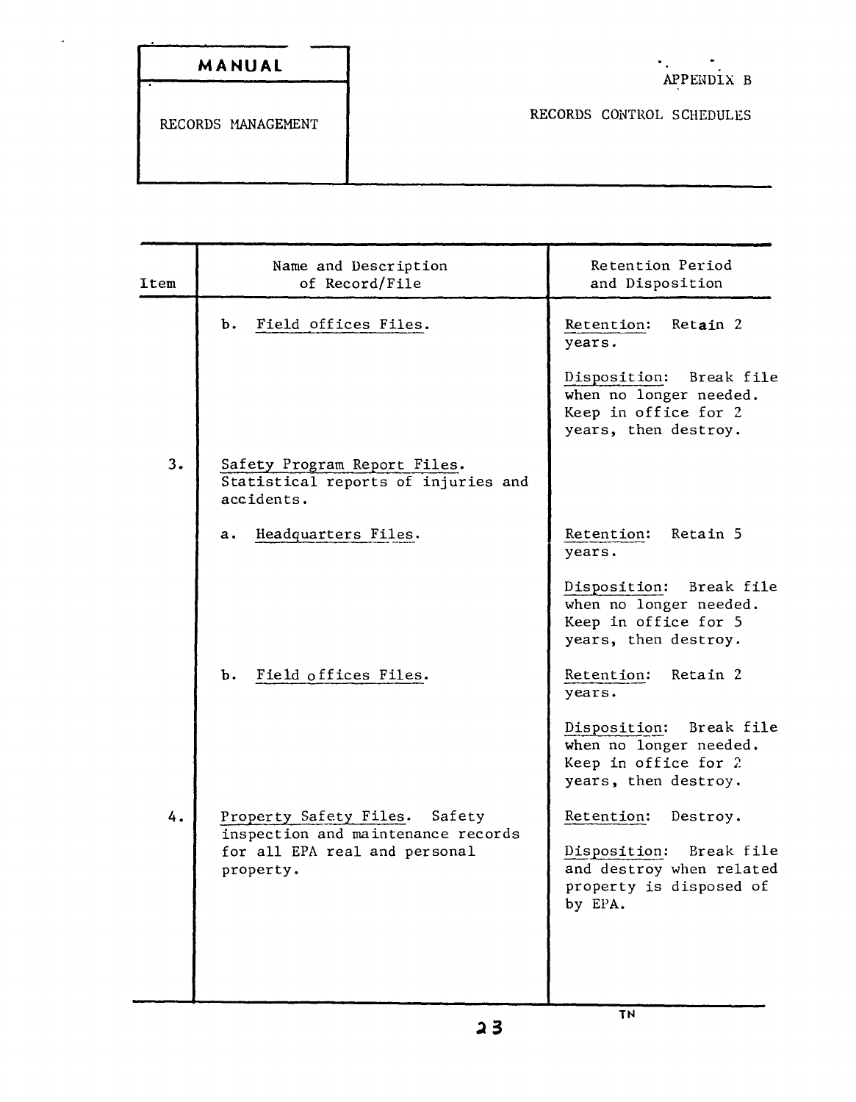$\ddot{\phantom{0}}$ 

RECORDS CONTROL SCHEDULES

| Item | Name and Description<br>of Record/File                                            | Retention Period<br>and Disposition                                                                  |
|------|-----------------------------------------------------------------------------------|------------------------------------------------------------------------------------------------------|
|      | Field offices Files.<br>ъ.                                                        | Retain 2<br>Retention:<br>years.                                                                     |
|      |                                                                                   | Disposition:<br>Break file<br>when no longer needed.<br>Keep in office for 2<br>years, then destroy. |
| 3.   | Safety Program Report Files.<br>Statistical reports of injuries and<br>accidents. |                                                                                                      |
|      | Headquarters Files.<br>$\mathbf{a}$ .                                             | Retention:<br>Retain 5<br>years.                                                                     |
|      |                                                                                   | Disposition: Break file<br>when no longer needed.<br>Keep in office for 5<br>years, then destroy.    |
|      | Field offices Files.<br>b.                                                        | Retention:<br>Retain 2<br>years.                                                                     |
|      |                                                                                   | Disposition: Break file<br>when no longer needed.<br>Keep in office for 2<br>years, then destroy.    |
| 4.   | Property Safety Files. Safety<br>inspection and maintenance records               | Retention:<br>Destroy.                                                                               |
|      | for all EPA real and personal<br>property.                                        | Disposition: Break file<br>and destroy when related<br>property is disposed of<br>by EPA.            |
|      |                                                                                   |                                                                                                      |
|      |                                                                                   |                                                                                                      |

TN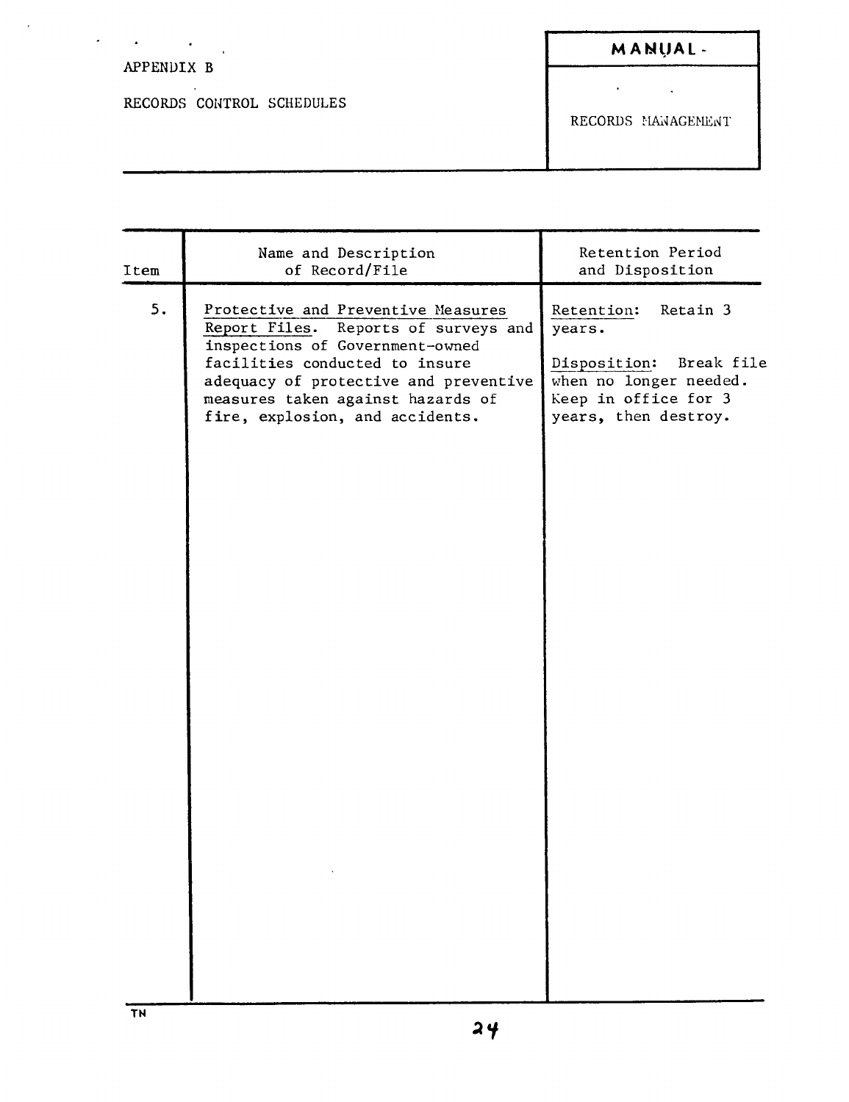## $\sigma_{\rm c}$  ,  $\sigma_{\rm c}$  ,  $\sigma_{\rm c}$ M A NUAL -APPENDIX B  $\mathcal{A}^{\text{max}}_{\text{max}}$ RECORDS COHTROL SCHEDULES RECORDS MANAGEMENT

| Item | Name and Description<br>of Record/File                                                                                                                                                                                                                              | Retention Period<br>and Disposition                                                                                                      |
|------|---------------------------------------------------------------------------------------------------------------------------------------------------------------------------------------------------------------------------------------------------------------------|------------------------------------------------------------------------------------------------------------------------------------------|
| 5.   | Protective and Preventive Measures<br>Reports of surveys and<br>Report Files.<br>inspections of Government-owned<br>facilities conducted to insure<br>adequacy of protective and preventive<br>measures taken against hazards of<br>fire, explosion, and accidents. | Retention:<br>Retain 3<br>years.<br>Disposition:<br>Break file<br>when no longer needed.<br>Keep in office for 3<br>years, then destroy. |
|      |                                                                                                                                                                                                                                                                     |                                                                                                                                          |

 $\sim 10^{-1}$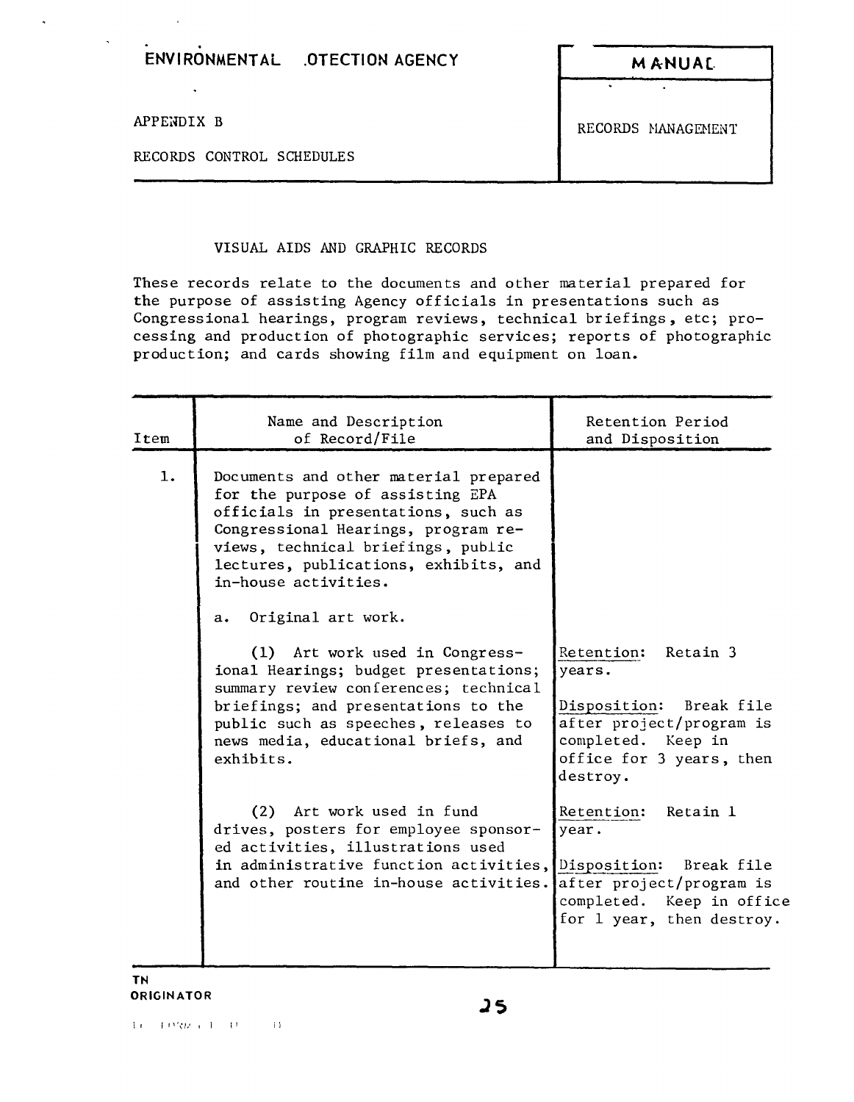| ENVIRONMENTAL .OTECTION AGENCY | <b>MANUA</b> |
|--------------------------------|--------------|

 $\ddot{\phantom{a}}$ 

RECORDS CONTROL SCHEDULES

APPENDIX B RECORDS MANAGEMENT

## VISUAL AIDS AND GRAPHIC RECORDS

These records relate to the documents and other material prepared for the purpose of assisting Agency officials in presentations such as Congressional hearings, program reviews, technical briefings, etc; processing and production of photographic services; reports of photographic production; and cards showing film and equipment on loan.

| Item | Name and Description<br>of Record/File                                                                                                                                                                                                                         | Retention Period<br>and Disposition                                                                                                                   |
|------|----------------------------------------------------------------------------------------------------------------------------------------------------------------------------------------------------------------------------------------------------------------|-------------------------------------------------------------------------------------------------------------------------------------------------------|
| 1.   | Documents and other material prepared<br>for the purpose of assisting EPA<br>officials in presentations, such as<br>Congressional Hearings, program re-<br>views, technical briefings, public<br>lectures, publications, exhibits, and<br>in-house activities. |                                                                                                                                                       |
|      | Original art work.<br>$a_{\bullet}$                                                                                                                                                                                                                            |                                                                                                                                                       |
|      | (1) Art work used in Congress-<br>ional Hearings; budget presentations;<br>summary review conferences; technical<br>briefings; and presentations to the<br>public such as speeches, releases to<br>news media, educational briefs, and<br>exhibits.            | Retention:<br>Retain 3<br>years.<br>Disposition: Break file<br>after project/program is<br>completed. Keep in<br>office for 3 years, then<br>destroy. |
|      | (2) Art work used in fund<br>drives, posters for employee sponsor-<br>ed activities, illustrations used<br>in administrative function activities,<br>and other routine in-house activities.                                                                    | Retention:<br>Retain 1<br>year.<br>Disposition: Break file<br>after project/program is<br>completed. Keep in office<br>for 1 year, then destroy.      |

**TN ORIGINATOR**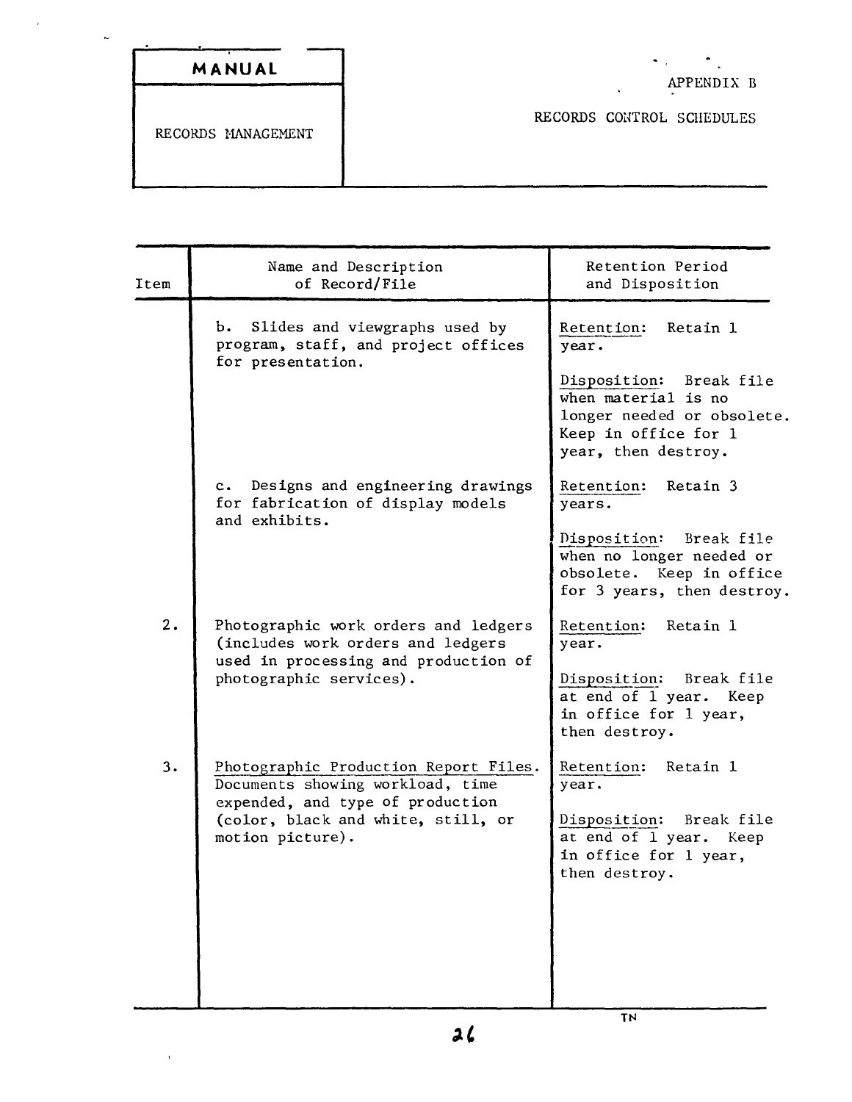| <u>termina analysis yrithiau yrithiau yrithiau yrithiau yrithiau yrithiau yrithiau yrithiau yrithiau yrithiau yr</u> |        |  |
|----------------------------------------------------------------------------------------------------------------------|--------|--|
|                                                                                                                      | MANUAL |  |

 $\mathcal{L}^{\pm}$ 

 $\sim$ 

RECORDS COHTROL SCHEDULES

| Item | Name and Description<br>of Record/File                                                                                                                                  | Retention Period<br>and Disposition                                                                                                                            |
|------|-------------------------------------------------------------------------------------------------------------------------------------------------------------------------|----------------------------------------------------------------------------------------------------------------------------------------------------------------|
|      | Slides and viewgraphs used by<br>b.<br>program, staff, and project offices<br>for presentation.                                                                         | Retention:<br>Retain 1<br>year.<br>Disposition: Break file<br>when material is no<br>longer needed or obsolete.<br>Keep in office for 1<br>year, then destroy. |
|      | Designs and engineering drawings<br>$\mathbf{c}$ .<br>for fabrication of display models<br>and exhibits.                                                                | Retention:<br>Retain 3<br>years.<br>Disposition: Break file<br>when no longer needed or<br>obsolete. Keep in office<br>for 3 years, then destroy.              |
| 2.   | Photographic work orders and ledgers<br>(includes work orders and ledgers<br>used in processing and production of<br>photographic services).                            | Retain 1<br>Retention:<br>year.<br>Disposition: Break file<br>at end of 1 year. Keep<br>in office for 1 year,<br>then destroy.                                 |
| 3.   | Photographic Production Report Files.<br>Documents showing workload, time<br>expended, and type of production<br>(color, black and white, still, or<br>motion picture). | Retain 1<br>Retention:<br>year.<br>Disposition: Break file<br>at end of 1 year. Keep<br>in office for 1 year,<br>then destroy.                                 |

 $26$ 

TN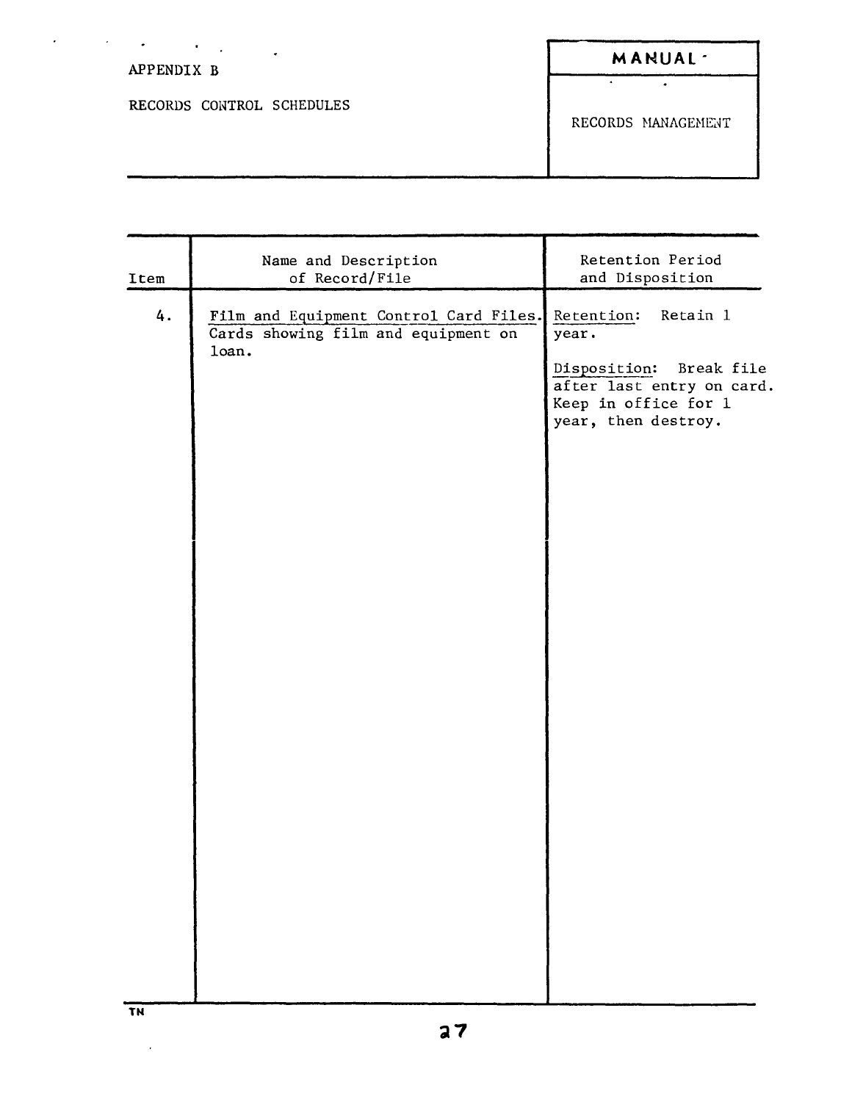| $\bullet$                 |                     |
|---------------------------|---------------------|
| APPENDIX B                | MANUAL <sup>-</sup> |
|                           |                     |
| RECORDS CONTROL SCHEDULES |                     |
|                           | RECORDS MANAGEMENT  |
|                           |                     |
|                           |                     |

| Item | Name and Description<br>of Record/File                                                 | Retention Period<br>and Disposition                                                                                                    |
|------|----------------------------------------------------------------------------------------|----------------------------------------------------------------------------------------------------------------------------------------|
| 4.   | Film and Equipment Control Card Files.<br>Cards showing film and equipment on<br>loan. | Retention:<br>Retain 1<br>year.<br>Disposition: Break file<br>after last entry on card.<br>Keep in office for 1<br>year, then destroy. |
|      |                                                                                        |                                                                                                                                        |

 $\sim$   $\alpha$ 

 $\ddot{\phantom{1}}$ 

 $\mathcal{L}^{\text{max}}_{\text{max}}$  , where  $\mathcal{L}^{\text{max}}_{\text{max}}$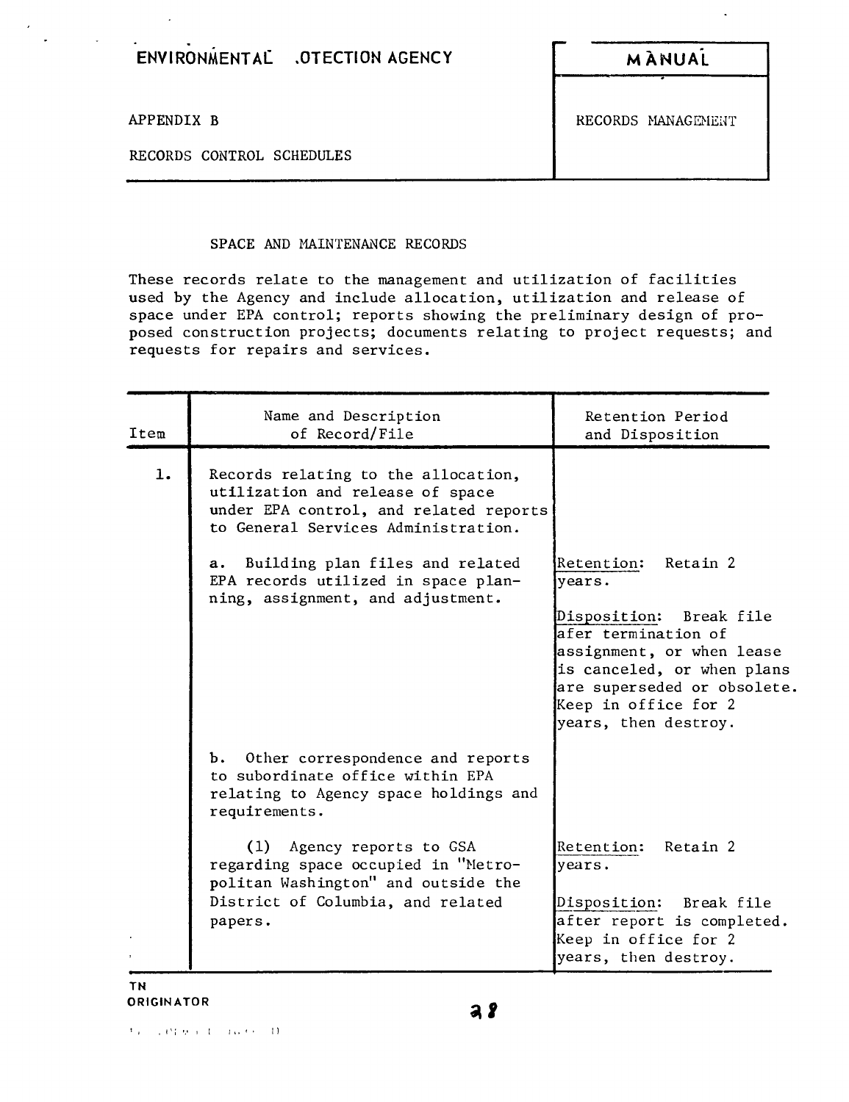- **ENVIRONMENTAL .OTECTION AGENCY <sup>M</sup> ANUAi**

RECORDS CONTROL SCHEDULES

APPENDIX B RECORDS MANAGEMENT

SPACE AND MAINTENANCE RECORDS

These records relate to the management and utilization of facilities used by the Agency and include allocation, utilization and release of space under EPA control; reports showing the preliminary design of proposed construction projects; documents relating to project requests; and requests for repairs and services.

| Item | Name and Description<br>of Record/File                                                                                                                   | Retention Period<br>and Disposition                                                                                                                                                                                       |
|------|----------------------------------------------------------------------------------------------------------------------------------------------------------|---------------------------------------------------------------------------------------------------------------------------------------------------------------------------------------------------------------------------|
| 1.   | Records relating to the allocation,<br>utilization and release of space<br>under EPA control, and related reports<br>to General Services Administration. |                                                                                                                                                                                                                           |
|      | a. Building plan files and related<br>EPA records utilized in space plan-<br>ning, assignment, and adjustment.                                           | Retention: Retain 2<br>vears.<br>Disposition: Break file<br>afer termination of<br>assignment, or when lease<br>is canceled, or when plans<br>are superseded or obsolete.<br>Keep in office for 2<br>years, then destroy. |
|      | b. Other correspondence and reports<br>to subordinate office within EPA<br>relating to Agency space holdings and<br>requirements.                        |                                                                                                                                                                                                                           |
|      | (1) Agency reports to GSA<br>regarding space occupied in "Metro-<br>politan Washington" and outside the<br>District of Columbia, and related<br>papers.  | Retention: Retain 2<br>years.<br>Disposition: Break file<br>after report is completed.<br>Keep in office for 2<br>years, then destroy.                                                                                    |

**TN ORIGINATOR**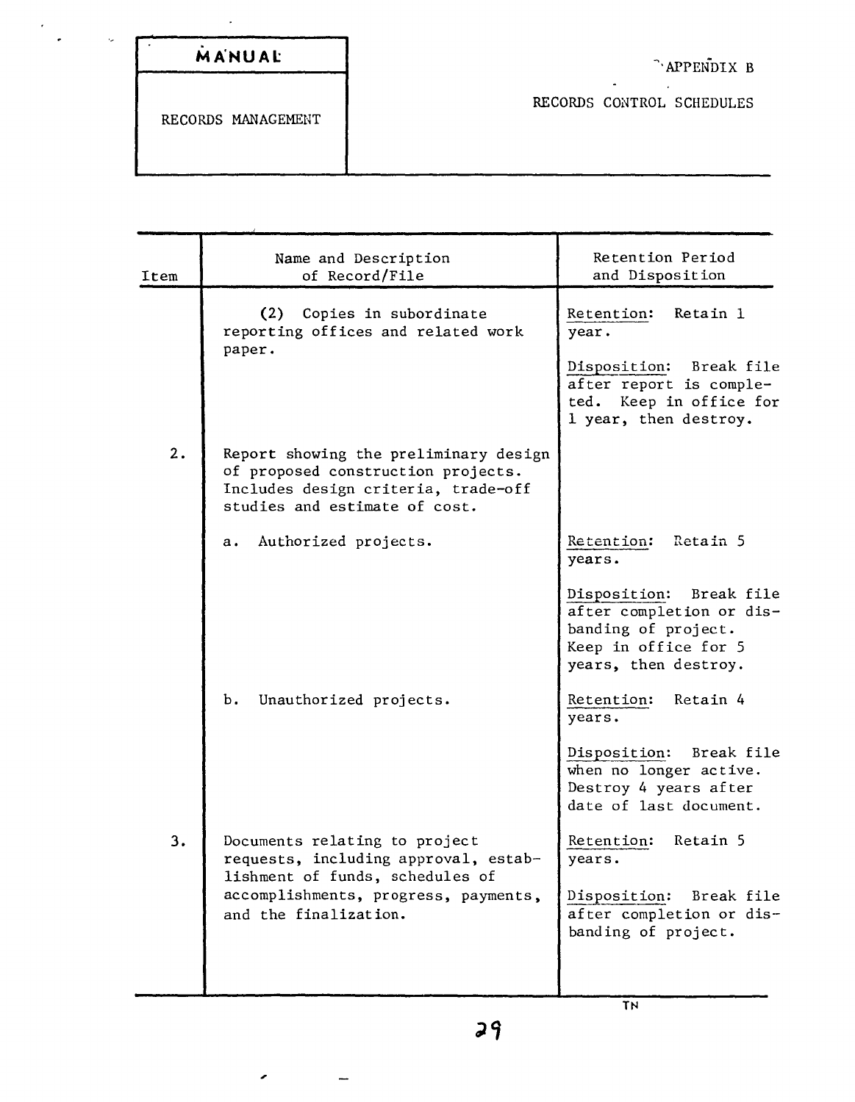| MANUAL |  |  |  |
|--------|--|--|--|
|        |  |  |  |
|        |  |  |  |

 $\overline{\phantom{a}}$ 

 $\hat{\boldsymbol{\cdot} }$ 

 $\downarrow$ 

RECORDS CONTROL SCHEDULES

RECORDS MANAGEMENT

,

 $\overline{\phantom{0}}$ 

| Item | Name and Description<br>of Record/File                                                                                                              | Retention Period<br>and Disposition                                                                                                          |
|------|-----------------------------------------------------------------------------------------------------------------------------------------------------|----------------------------------------------------------------------------------------------------------------------------------------------|
|      | (2) Copies in subordinate<br>reporting offices and related work<br>paper.                                                                           | Retention:<br>Retain 1<br>year.<br>Disposition: Break file<br>after report is comple-<br>Keep in office for<br>ted.<br>1 year, then destroy. |
| 2.   | Report showing the preliminary design<br>of proposed construction projects.<br>Includes design criteria, trade-off<br>studies and estimate of cost. |                                                                                                                                              |
|      | Authorized projects.<br>а.                                                                                                                          | Retain 5<br>Retention:<br>years.                                                                                                             |
|      |                                                                                                                                                     | Disposition: Break file<br>after completion or dis-<br>banding of project.<br>Keep in office for 5<br>years, then destroy.                   |
|      | b.<br>Unauthorized projects.                                                                                                                        | Retention:<br>Retain 4<br>years.                                                                                                             |
|      |                                                                                                                                                     | Disposition: Break file<br>when no longer active.<br>Destroy 4 years after<br>date of last document.                                         |
| 3.   | Documents relating to project<br>requests, including approval, estab-<br>lishment of funds, schedules of                                            | Retain 5<br>Retention:<br>years.                                                                                                             |
|      | accomplishments, progress, payments,<br>and the finalization.                                                                                       | Disposition:<br>Break file<br>after completion or dis-<br>banding of project.                                                                |
|      |                                                                                                                                                     |                                                                                                                                              |